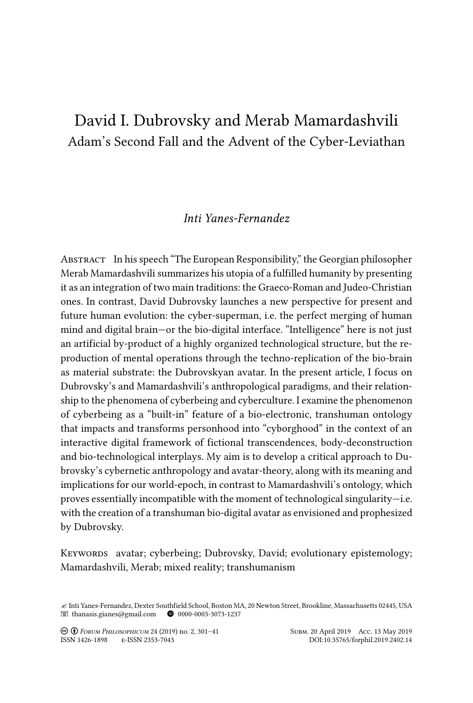# David I. Dubrovsky and Merab Mamardashvili Adam's Second Fall and the Advent of the Cyber-Leviathan

# *Inti Yanes-Fernandez*

Abstract In his speech "The European Responsibility," the Georgian philosopher Merab Mamardashvili summarizes his utopia of a fulfilled humanity by presenting it as an integration of two main traditions: the Graeco-Roman and Judeo-Christian ones. In contrast, David Dubrovsky launches a new perspective for present and future human evolution: the cyber-superman, i.e. the perfect merging of human mind and digital brain—or the bio-digital interface. "Intelligence" here is not just an artificial by-product of a highly organized technological structure, but the reproduction of mental operations through the techno-replication of the bio-brain as material substrate: the Dubrovskyan avatar. In the present article, I focus on Dubrovsky's and Mamardashvili's anthropological paradigms, and their relationship to the phenomena of cyberbeing and cyberculture. I examine the phenomenon of cyberbeing as a "built-in" feature of a bio-electronic, transhuman ontology that impacts and transforms personhood into "cyborghood" in the context of an interactive digital framework of fictional transcendences, body-deconstruction and bio-technological interplays. My aim is to develop a critical approach to Dubrovsky's cybernetic anthropology and avatar-theory, along with its meaning and implications for our world-epoch, in contrast to Mamardashvili's ontology, which proves essentially incompatible with the moment of technological singularity—i.e. with the creation of a transhuman bio-digital avatar as envisioned and prophesized by Dubrovsky.

Keywords avatar; cyberbeing; Dubrovsky, David; evolutionary epistemology; Mamardashvili, Merab; mixed reality; transhumanism

<sup>&</sup>quot; Inti Yanes-Fernandez, Dexter Southfield School, Boston MA, 20 Newton Street, Brookline, Massachusetts 02445, USA  $\blacksquare$  [thanasis.gianes@gmail.com](mailto:thanasis.gianes@gmail.com)  $\blacksquare$  0000-0003-3073-1237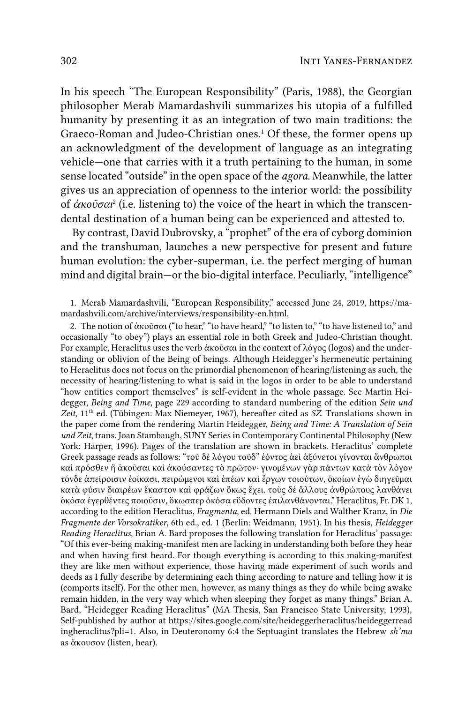In his speech "The European Responsibility" (Paris, 1988), the Georgian philosopher Merab Mamardashvili summarizes his utopia of a fulfilled humanity by presenting it as an integration of two main traditions: the Graeco-Roman and Judeo-Christian ones.<sup>1</sup> Of these, the former opens up an acknowledgment of the development of language as an integrating vehicle—one that carries with it a truth pertaining to the human, in some sense located "outside" in the open space of the *agora*. Meanwhile, the latter gives us an appreciation of openness to the interior world: the possibility of *ἀκοῦσαι*<sup>2</sup> (i.e. listening to) the voice of the heart in which the transcendental destination of a human being can be experienced and attested to.

By contrast, David Dubrovsky, a "prophet" of the era of cyborg dominion and the transhuman, launches a new perspective for present and future human evolution: the cyber-superman, i.e. the perfect merging of human mind and digital brain—or the bio-digital interface. Peculiarly, "intelligence"

1. Merab Mamardashvili, "European Responsibility," accessed June 24, 2019, https://mamardashvili.com/archive/interviews/responsibility-en.html.

2. The notion of ἀκοῦσαι ("to hear," "to have heard," "to listen to," "to have listened to," and occasionally "to obey") plays an essential role in both Greek and Judeo-Christian thought. For example, Heraclitus uses the verb ἀκοῦσαι in the context of λόγος (logos) and the understanding or oblivion of the Being of beings. Although Heidegger's hermeneutic pertaining to Heraclitus does not focus on the primordial phenomenon of hearing/listening as such, the necessity of hearing/listening to what is said in the logos in order to be able to understand "how entities comport themselves" is self-evident in the whole passage. See Martin Heidegger, *Being and Time*, page 229 according to standard numbering of the edition *Sein und Zeit*, 11th ed. (Tübingen: Max Niemeyer, 1967), hereafter cited as *SZ*. Translations shown in the paper come from the rendering Martin Heidegger, *Being and Time: A Translation of Sein und Zeit*, trans. Joan Stambaugh, SUNY Series in Contemporary Continental Philosophy (New York: Harper, 1996). Pages of the translation are shown in brackets. Heraclitus' complete Greek passage reads as follows: "τοῦ δὲ λόγου τοῦδ" ἐόντος ἀεὶ ἀξύνετοι γίνονται ἄνθρωποι καὶ πρόσθεν ἢ ἀκοῦσαι καὶ ἀκούσαντες τὸ πρῶτον· γινομένων γὰρ πάντων κατὰ τὸν λόγον τόνδε ἀπείροισιν ἐοίκασι, πειρώμενοι καὶ ἐπέων καὶ ἔργων τοιούτων, ὁκοίων ἐγὼ διηγεῦμαι κατὰ φύσιν διαιρέων ἕκαστον καὶ φράζων ὅκως ἔχει. τοὺς δὲ ἄλλους ἀνθρώπους λανθάνει ὁκόσα ἐγερθέντες ποιοῦσιν, ὅκωσπερ ὁκόσα εὕδοντες ἐπιλανθάνονται." Heraclitus, Fr. DK 1, according to the edition Heraclitus, *Fragmenta*, ed. Hermann Diels and Walther Kranz, in *Die Fragmente der Vorsokratiker*, 6th ed., ed. 1 (Berlin: Weidmann, 1951). In his thesis, *Heidegger Reading Heraclitus*, Brian A. Bard proposes the following translation for Heraclitus' passage: "Of this ever-being making-manifest men are lacking in understanding both before they hear and when having first heard. For though everything is according to this making-manifest they are like men without experience, those having made experiment of such words and deeds as I fully describe by determining each thing according to nature and telling how it is (comports itself). For the other men, however, as many things as they do while being awake remain hidden, in the very way which when sleeping they forget as many things." Brian A. Bard, "Heidegger Reading Heraclitus" (MA Thesis, San Francisco State University, 1993), Self-published by author at https://sites.google.com/site/heideggerheraclitus/heideggerread ingheraclitus?pli=1. Also, in Deuteronomy 6:4 the Septuagint translates the Hebrew *sh'ma*  as ἄκουσον (listen, hear).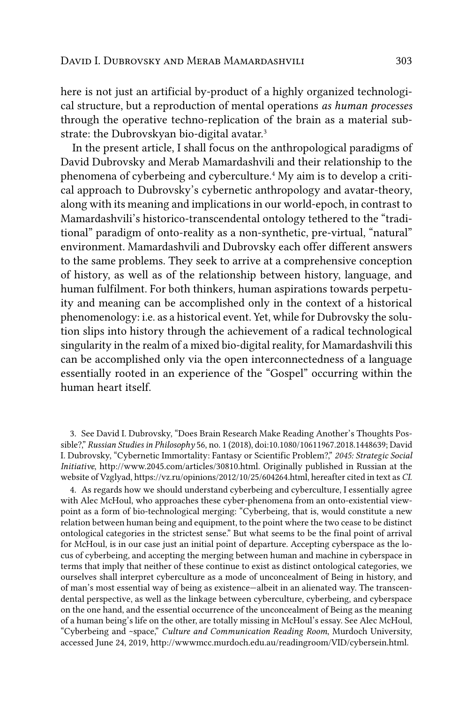here is not just an artificial by-product of a highly organized technological structure, but a reproduction of mental operations *as human processes*  through the operative techno-replication of the brain as a material substrate: the Dubrovskyan bio-digital avatar.3

In the present article, I shall focus on the anthropological paradigms of David Dubrovsky and Merab Mamardashvili and their relationship to the phenomena of cyberbeing and cyberculture.<sup>4</sup> My aim is to develop a critical approach to Dubrovsky's cybernetic anthropology and avatar-theory, along with its meaning and implications in our world-epoch, in contrast to Mamardashvili's historico-transcendental ontology tethered to the "traditional" paradigm of onto-reality as a non-synthetic, pre-virtual, "natural" environment. Mamardashvili and Dubrovsky each offer different answers to the same problems. They seek to arrive at a comprehensive conception of history, as well as of the relationship between history, language, and human fulfilment. For both thinkers, human aspirations towards perpetuity and meaning can be accomplished only in the context of a historical phenomenology: i.e. as a historical event. Yet, while for Dubrovsky the solution slips into history through the achievement of a radical technological singularity in the realm of a mixed bio-digital reality, for Mamardashvili this can be accomplished only via the open interconnectedness of a language essentially rooted in an experience of the "Gospel" occurring within the human heart itself.

3. See David I. Dubrovsky, "Does Brain Research Make Reading Another's Thoughts Possible?," *Russian Studies in Philosophy* 56, no. 1 (2018), doi:10.1080/10611967.2018.1448639; David I. Dubrovsky, "Cybernetic Immortality: Fantasy or Scientific Problem?," *2045: Strategic Social Initiative*, http://www.2045.com/articles/30810.html. Originally published in Russian at the website of Vzglyad, https://vz.ru/opinions/2012/10/25/604264.html, hereafter cited in text as *CI*.

4. As regards how we should understand cyberbeing and cyberculture, I essentially agree with Alec McHoul, who approaches these cyber-phenomena from an onto-existential viewpoint as a form of bio-technological merging: "Cyberbeing, that is, would constitute a new relation between human being and equipment, to the point where the two cease to be distinct ontological categories in the strictest sense." But what seems to be the final point of arrival for McHoul, is in our case just an initial point of departure. Accepting cyberspace as the locus of cyberbeing, and accepting the merging between human and machine in cyberspace in terms that imply that neither of these continue to exist as distinct ontological categories, we ourselves shall interpret cyberculture as a mode of unconcealment of Being in history, and of man's most essential way of being as existence—albeit in an alienated way. The transcendental perspective, as well as the linkage between cyberculture, cyberbeing, and cyberspace on the one hand, and the essential occurrence of the unconcealment of Being as the meaning of a human being's life on the other, are totally missing in McHoul's essay. See Alec McHoul, "Cyberbeing and ~space," *Culture and Communication Reading Room*, Murdoch University, accessed June 24, 2019, http://wwwmcc.murdoch.edu.au/readingroom/VID/cybersein.html.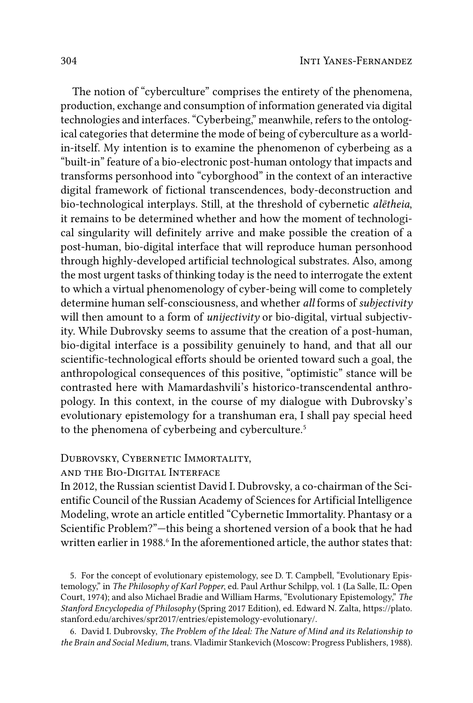The notion of "cyberculture" comprises the entirety of the phenomena, production, exchange and consumption of information generated via digital technologies and interfaces. "Cyberbeing," meanwhile, refers to the ontological categories that determine the mode of being of cyberculture as a worldin-itself. My intention is to examine the phenomenon of cyberbeing as a "built-in" feature of a bio-electronic post-human ontology that impacts and transforms personhood into "cyborghood" in the context of an interactive digital framework of fictional transcendences, body-deconstruction and bio-technological interplays. Still, at the threshold of cybernetic *aletheia*, it remains to be determined whether and how the moment of technological singularity will definitely arrive and make possible the creation of a post-human, bio-digital interface that will reproduce human personhood through highly-developed artificial technological substrates. Also, among the most urgent tasks of thinking today is the need to interrogate the extent to which a virtual phenomenology of cyber-being will come to completely determine human self-consciousness, and whether all forms of subjectivity will then amount to a form of unijectivity or bio-digital, virtual subjectivity. While Dubrovsky seems to assume that the creation of a post-human, bio-digital interface is a possibility genuinely to hand, and that all our scientific-technological efforts should be oriented toward such a goal, the anthropological consequences of this positive, "optimistic" stance will be contrasted here with Mamardashvili's historico-transcendental anthropology. In this context, in the course of my dialogue with Dubrovsky's evolutionary epistemology for a transhuman era, I shall pay special heed to the phenomena of cyberbeing and cyberculture.<sup>5</sup>

## DUBROVSKY, CYBERNETIC IMMORTALITY,

## AND THE BIO-DIGITAL INTERFACE

In 2012, the Russian scientist David I. Dubrovsky, a co-chairman of the Scientific Council of the Russian Academy of Sciences for Artificial Intelligence Modeling, wrote an article entitled "Cybernetic Immortality. Phantasy or a Scientific Problem?"—this being a shortened version of a book that he had written earlier in 1988.<sup>6</sup> In the aforementioned article, the author states that:

5. For the concept of evolutionary epistemology, see D. T. Campbell, "Evolutionary Epistemology," in The Philosophy of Karl Popper, ed. Paul Arthur Schilpp, vol. 1 (La Salle, IL: Open Court, 1974); and also Michael Bradie and William Harms, "Evolutionary Epistemology," The Stanford Encyclopedia of Philosophy (Spring 2017 Edition), ed. Edward N. Zalta, https://plato. stanford.edu/archives/spr2017/entries/epistemology-evolutionary/.

6. David I. Dubrovsky, The Problem of the Ideal: The Nature of Mind and its Relationship to the Brain and Social Medium, trans. Vladimir Stankevich (Moscow: Progress Publishers, 1988).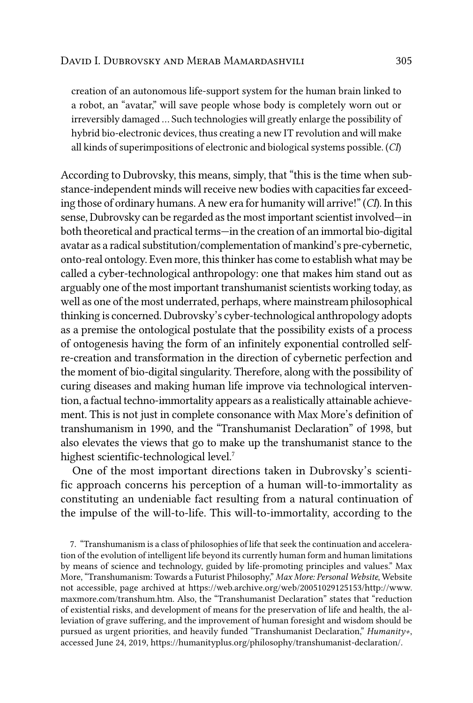creation of an autonomous life-support system for the human brain linked to a robot, an "avatar," will save people whose body is completely worn out or irreversibly damaged … Such technologies will greatly enlarge the possibility of hybrid bio-electronic devices, thus creating a new IT revolution and will make all kinds of superimpositions of electronic and biological systems possible. (*CI*)

According to Dubrovsky, this means, simply, that "this is the time when substance-independent minds will receive new bodies with capacities far exceeding those of ordinary humans. A new era for humanity will arrive!"(*CI*). In this sense, Dubrovsky can be regarded as the most important scientist involved—in both theoretical and practical terms—in the creation of an immortal bio-digital avatar as a radical substitution/complementation of mankind's pre-cybernetic, onto-real ontology. Even more, this thinker has come to establish what may be called a cyber-technological anthropology: one that makes him stand out as arguably one of the most important transhumanist scientists working today, as well as one of the most underrated, perhaps, where mainstream philosophical thinking is concerned. Dubrovsky's cyber-technological anthropology adopts as a premise the ontological postulate that the possibility exists of a process of ontogenesis having the form of an infinitely exponential controlled selfre-creation and transformation in the direction of cybernetic perfection and the moment of bio-digital singularity. Therefore, along with the possibility of curing diseases and making human life improve via technological intervention, a factual techno-immortality appears as a realistically attainable achievement. This is not just in complete consonance with Max More's definition of transhumanism in 1990, and the "Transhumanist Declaration" of 1998, but also elevates the views that go to make up the transhumanist stance to the highest scientific-technological level.<sup>7</sup>

One of the most important directions taken in Dubrovsky's scientific approach concerns his perception of a human will-to-immortality as constituting an undeniable fact resulting from a natural continuation of the impulse of the will-to-life. This will-to-immortality, according to the

7. "Transhumanism is a class of philosophies of life that seek the continuation and acceleration of the evolution of intelligent life beyond its currently human form and human limitations by means of science and technology, guided by life-promoting principles and values." Max More, "Transhumanism: Towards a Futurist Philosophy," *Max More: Personal Website*, Website not accessible, page archived at https://web.archive.org/web/20051029125153/http://www. maxmore.com/transhum.htm. Also, the "Transhumanist Declaration" states that "reduction of existential risks, and development of means for the preservation of life and health, the alleviation of grave suffering, and the improvement of human foresight and wisdom should be pursued as urgent priorities, and heavily funded "Transhumanist Declaration," *Humanity+*, accessed June 24, 2019, https://humanityplus.org/philosophy/transhumanist-declaration/.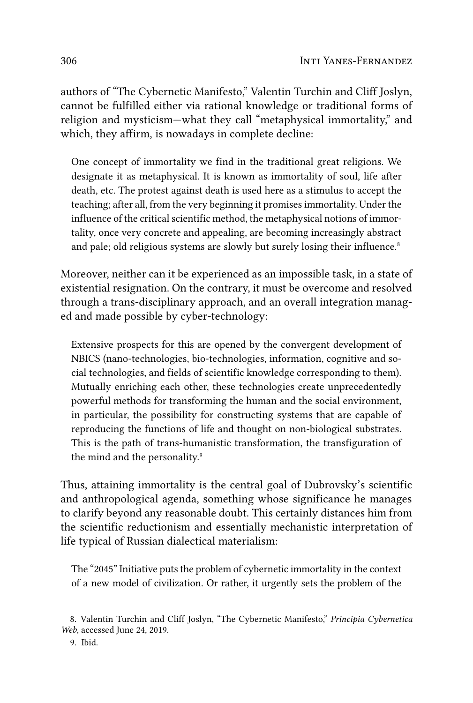authors of "The Cybernetic Manifesto," Valentin Turchin and Cliff Joslyn, cannot be fulfilled either via rational knowledge or traditional forms of religion and mysticism—what they call "metaphysical immortality," and which, they affirm, is nowadays in complete decline:

One concept of immortality we find in the traditional great religions. We designate it as metaphysical. It is known as immortality of soul, life after death, etc. The protest against death is used here as a stimulus to accept the teaching; after all, from the very beginning it promises immortality. Under the influence of the critical scientific method, the metaphysical notions of immortality, once very concrete and appealing, are becoming increasingly abstract and pale; old religious systems are slowly but surely losing their influence.<sup>8</sup>

Moreover, neither can it be experienced as an impossible task, in a state of existential resignation. On the contrary, it must be overcome and resolved through a trans-disciplinary approach, and an overall integration managed and made possible by cyber-technology:

Extensive prospects for this are opened by the convergent development of NBICS (nano-technologies, bio-technologies, information, cognitive and social technologies, and fields of scientific knowledge corresponding to them). Mutually enriching each other, these technologies create unprecedentedly powerful methods for transforming the human and the social environment, in particular, the possibility for constructing systems that are capable of reproducing the functions of life and thought on non-biological substrates. This is the path of trans-humanistic transformation, the transfiguration of the mind and the personality.<sup>9</sup>

Thus, attaining immortality is the central goal of Dubrovsky's scientific and anthropological agenda, something whose significance he manages to clarify beyond any reasonable doubt. This certainly distances him from the scientific reductionism and essentially mechanistic interpretation of life typical of Russian dialectical materialism:

The "2045" Initiative puts the problem of cybernetic immortality in the context of a new model of civilization. Or rather, it urgently sets the problem of the

<sup>8.</sup> Valentin Turchin and Cliff Joslyn, "The Cybernetic Manifesto," *Principia Cybernetica Web*, accessed June 24, 2019.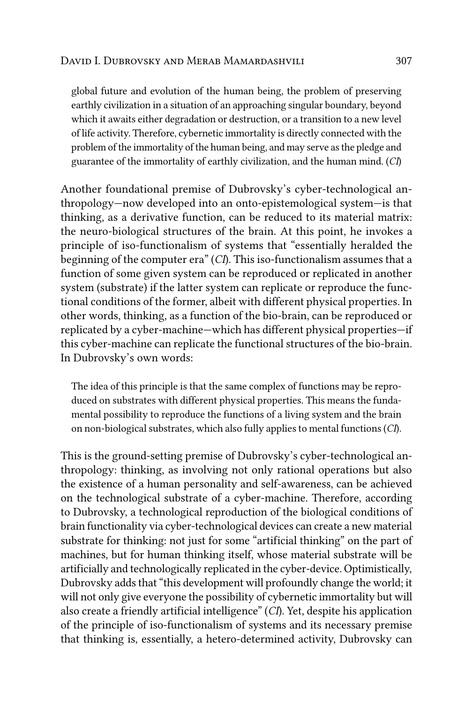global future and evolution of the human being, the problem of preserving earthly civilization in a situation of an approaching singular boundary, beyond which it awaits either degradation or destruction, or a transition to a new level of life activity. Therefore, cybernetic immortality is directly connected with the problem of the immortality of the human being, and may serve as the pledge and guarantee of the immortality of earthly civilization, and the human mind. (*CI*)

Another foundational premise of Dubrovsky's cyber-technological anthropology—now developed into an onto-epistemological system—is that thinking, as a derivative function, can be reduced to its material matrix: the neuro-biological structures of the brain. At this point, he invokes a principle of iso-functionalism of systems that "essentially heralded the beginning of the computer era" (*CI*). This iso-functionalism assumes that a function of some given system can be reproduced or replicated in another system (substrate) if the latter system can replicate or reproduce the functional conditions of the former, albeit with different physical properties. In other words, thinking, as a function of the bio-brain, can be reproduced or replicated by a cyber-machine—which has different physical properties—if this cyber-machine can replicate the functional structures of the bio-brain. In Dubrovsky's own words:

The idea of this principle is that the same complex of functions may be reproduced on substrates with different physical properties. This means the fundamental possibility to reproduce the functions of a living system and the brain on non-biological substrates, which also fully applies to mental functions(*CI*).

This is the ground-setting premise of Dubrovsky's cyber-technological anthropology: thinking, as involving not only rational operations but also the existence of a human personality and self-awareness, can be achieved on the technological substrate of a cyber-machine. Therefore, according to Dubrovsky, a technological reproduction of the biological conditions of brain functionality via cyber-technological devices can create a new material substrate for thinking: not just for some "artificial thinking" on the part of machines, but for human thinking itself, whose material substrate will be artificially and technologically replicated in the cyber-device. Optimistically, Dubrovsky adds that "this development will profoundly change the world; it will not only give everyone the possibility of cybernetic immortality but will also create a friendly artificial intelligence" (*CI*). Yet, despite his application of the principle of iso-functionalism of systems and its necessary premise that thinking is, essentially, a hetero-determined activity, Dubrovsky can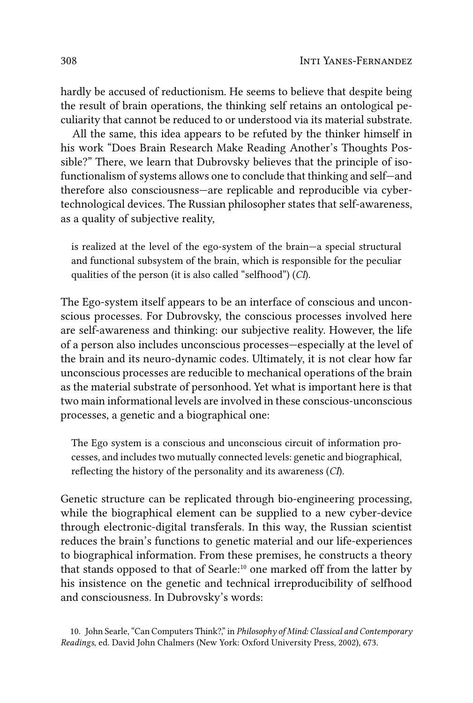hardly be accused of reductionism. He seems to believe that despite being the result of brain operations, the thinking self retains an ontological peculiarity that cannot be reduced to or understood via its material substrate.

All the same, this idea appears to be refuted by the thinker himself in his work "Does Brain Research Make Reading Another's Thoughts Possible?" There, we learn that Dubrovsky believes that the principle of isofunctionalism of systems allows one to conclude that thinking and self—and therefore also consciousness—are replicable and reproducible via cybertechnological devices. The Russian philosopher states that self-awareness, as a quality of subjective reality,

is realized at the level of the ego-system of the brain—a special structural and functional subsystem of the brain, which is responsible for the peculiar qualities of the person (it is also called "selfhood") (*CI*).

The Ego-system itself appears to be an interface of conscious and unconscious processes. For Dubrovsky, the conscious processes involved here are self-awareness and thinking: our subjective reality. However, the life of a person also includes unconscious processes—especially at the level of the brain and its neuro-dynamic codes. Ultimately, it is not clear how far unconscious processes are reducible to mechanical operations of the brain as the material substrate of personhood. Yet what is important here is that two main informational levels are involved in these conscious-unconscious processes, a genetic and a biographical one:

The Ego system is a conscious and unconscious circuit of information processes, and includes two mutually connected levels: genetic and biographical, reflecting the history of the personality and its awareness (*CI*).

Genetic structure can be replicated through bio-engineering processing, while the biographical element can be supplied to a new cyber-device through electronic-digital transferals. In this way, the Russian scientist reduces the brain's functions to genetic material and our life-experiences to biographical information. From these premises, he constructs a theory that stands opposed to that of Searle:10 one marked off from the latter by his insistence on the genetic and technical irreproducibility of selfhood and consciousness. In Dubrovsky's words:

<sup>10.</sup> John Searle, "Can Computers Think?," in *Philosophy of Mind: Classical and Contemporary Readings*, ed. David John Chalmers (New York: Oxford University Press, 2002), 673.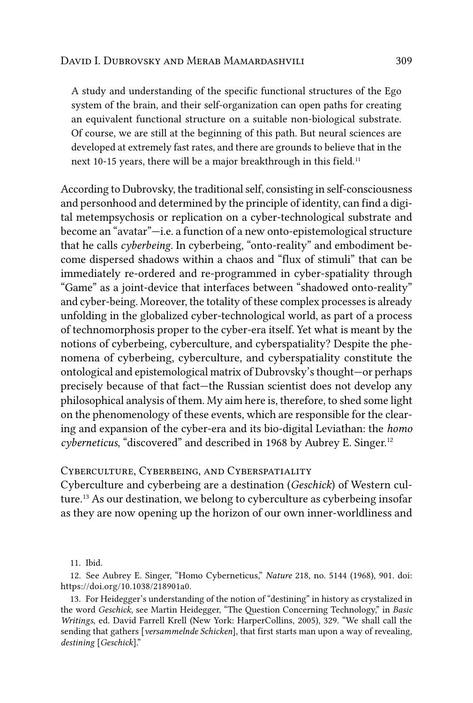A study and understanding of the specific functional structures of the Ego system of the brain, and their self-organization can open paths for creating an equivalent functional structure on a suitable non-biological substrate. Of course, we are still at the beginning of this path. But neural sciences are developed at extremely fast rates, and there are grounds to believe that in the next 10-15 years, there will be a major breakthrough in this field.<sup>11</sup>

According to Dubrovsky, the traditional self, consisting in self-consciousness and personhood and determined by the principle of identity, can find a digital metempsychosis or replication on a cyber-technological substrate and become an "avatar"—i.e. a function of a new onto-epistemological structure that he calls *cyberbeing*. In cyberbeing, "onto-reality" and embodiment become dispersed shadows within a chaos and "flux of stimuli" that can be immediately re-ordered and re-programmed in cyber-spatiality through "Game" as a joint-device that interfaces between "shadowed onto-reality" and cyber-being. Moreover, the totality of these complex processes is already unfolding in the globalized cyber-technological world, as part of a process of technomorphosis proper to the cyber-era itself. Yet what is meant by the notions of cyberbeing, cyberculture, and cyberspatiality? Despite the phenomena of cyberbeing, cyberculture, and cyberspatiality constitute the ontological and epistemological matrix of Dubrovsky's thought—or perhaps precisely because of that fact—the Russian scientist does not develop any philosophical analysis of them. My aim here is, therefore, to shed some light on the phenomenology of these events, which are responsible for the clearing and expansion of the cyber-era and its bio-digital Leviathan: the *homo cyberneticus*, "discovered" and described in 1968 by Aubrey E. Singer.12

#### Cyberculture, Cyberbeing, and Cyberspatiality

Cyberculture and cyberbeing are a destination (*Geschick*) of Western culture.13 As our destination, we belong to cyberculture as cyberbeing insofar as they are now opening up the horizon of our own inner-worldliness and

<sup>11.</sup> Ibid.

<sup>12.</sup> See Aubrey E. Singer, "Homo Cyberneticus," *Nature* 218, no. 5144 (1968), 901. doi: <https://doi.org/10.1038/218901a0>.

<sup>13.</sup> For Heidegger's understanding of the notion of "destining" in history as crystalized in the word *Geschick*, see Martin Heidegger, "The Question Concerning Technology," in *Basic Writings*, ed. David Farrell Krell (New York: HarperCollins, 2005), 329. "We shall call the sending that gathers [*versammelnde Schicken*], that first starts man upon a way of revealing, *destining* [*Geschick*]."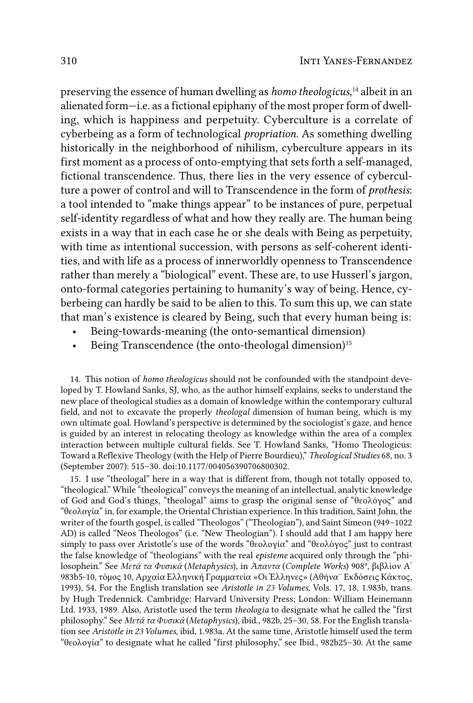preserving the essence of human dwelling as *homo theologicus*, 14 albeit in an alienated form—i.e. as a fictional epiphany of the most proper form of dwelling, which is happiness and perpetuity. Cyberculture is a correlate of cyberbeing as a form of technological *propriation*. As something dwelling historically in the neighborhood of nihilism, cyberculture appears in its first moment as a process of onto-emptying that sets forth a self-managed, fictional transcendence. Thus, there lies in the very essence of cyberculture a power of control and will to Transcendence in the form of *prothesis*: a tool intended to "make things appear" to be instances of pure, perpetual self-identity regardless of what and how they really are. The human being exists in a way that in each case he or she deals with Being as perpetuity, with time as intentional succession, with persons as self-coherent identities, and with life as a process of innerworldly openness to Transcendence rather than merely a "biological" event. These are, to use Husserl's jargon, onto-formal categories pertaining to humanity's way of being. Hence, cyberbeing can hardly be said to be alien to this. To sum this up, we can state that man's existence is cleared by Being, such that every human being is:

- Being-towards-meaning (the onto-semantical dimension)
- Being Transcendence (the onto-theologal dimension)<sup>15</sup>

14. This notion of *homo theologicus* should not be confounded with the standpoint developed by T. Howland Sanks, SJ, who, as the author himself explains, seeks to understand the new place of theological studies as a domain of knowledge within the contemporary cultural field, and not to excavate the properly *theologal* dimension of human being, which is my own ultimate goal. Howland's perspective is determined by the sociologist's gaze, and hence is guided by an interest in relocating theology as knowledge within the area of a complex interaction between multiple cultural fields. See T. Howland Sanks, "Homo Theologicus: Toward a Reflexive Theology (with the Help of Pierre Bourdieu)," *Theological Studies* 68, no. 3 (September 2007): 515–30. doi:10.1177/004056390706800302.

15. I use "theologal" here in a way that is different from, though not totally opposed to, "theological." While "theological" conveys the meaning of an intellectual, analytic knowledge of God and God's things, "theologal" aims to grasp the original sense of "θεολόγος" and "θεολογία" in, for example, the Oriental Christian experience. In this tradition, Saint John, the writer of the fourth gospel, is called "Theologos" ("Theologian"), and Saint Simeon (949–1022 AD) is called "Neos Theologos" (i.e. "New Theologian"). I should add that I am happy here simply to pass over Aristotle's use of the words "θεολογία" and "θεολόγος" just to contrast the false knowledge of "theologians" with the real *episteme* acquired only through the "philosophein." See *Μετά τα Φυσικά* (*Metaphysics*), in *Άπαντα* (*Complete Works*) 908ª, βιβλίον Α΄ 983b5-10, τόμος 10, Αρχαία Ελληνική Γραμματεία «Οι Έλληνες» (Αθήνα¨ Εκδόσεις Κάκτος, 1993), 54. For the English translation see *Aristotle in 23 Volumes*, Vols. 17, 18, 1.983b, trans. by Hugh Tredennick. Cambridge: Harvard University Press; London: William Heinemann Ltd. 1933, 1989. Also, Aristotle used the term *theologia* to designate what he called the "first philosophy." See *Μετά τα Φυσικά* (*Metaphysics*), ibid., 982b, 25–30, 58. For the English translation see *Aristotle in 23 Volumes*, ibid, 1.983a. At the same time, Aristotle himself used the term "θεολογία" to designate what he called "first philosophy," see Ibid., 982b25–30. At the same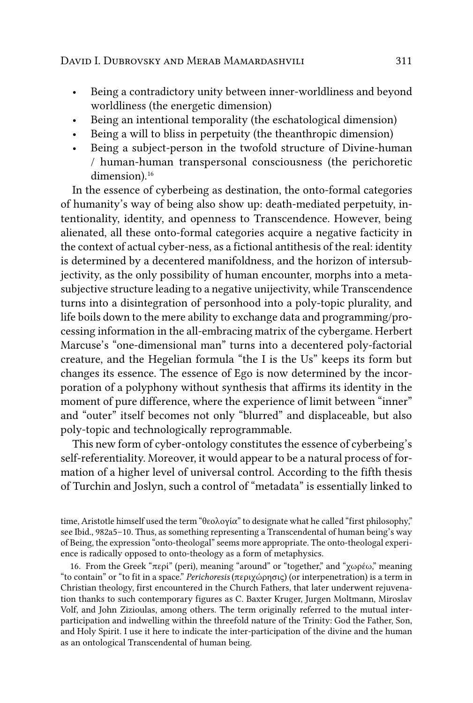- Being a contradictory unity between inner-worldliness and beyond worldliness (the energetic dimension)
- Being an intentional temporality (the eschatological dimension)
- Being a will to bliss in perpetuity (the theanthropic dimension)
- Being a subject-person in the twofold structure of Divine-human / human-human transpersonal consciousness (the perichoretic dimension).<sup>16</sup>

In the essence of cyberbeing as destination, the onto-formal categories of humanity's way of being also show up: death-mediated perpetuity, intentionality, identity, and openness to Transcendence. However, being alienated, all these onto-formal categories acquire a negative facticity in the context of actual cyber-ness, as a fictional antithesis of the real: identity is determined by a decentered manifoldness, and the horizon of intersubjectivity, as the only possibility of human encounter, morphs into a metasubjective structure leading to a negative unijectivity, while Transcendence turns into a disintegration of personhood into a poly-topic plurality, and life boils down to the mere ability to exchange data and programming/processing information in the all-embracing matrix of the cybergame. Herbert Marcuse's "one-dimensional man" turns into a decentered poly-factorial creature, and the Hegelian formula "the I is the Us" keeps its form but changes its essence. The essence of Ego is now determined by the incorporation of a polyphony without synthesis that affirms its identity in the moment of pure difference, where the experience of limit between "inner" and "outer" itself becomes not only "blurred" and displaceable, but also poly-topic and technologically reprogrammable.

This new form of cyber-ontology constitutes the essence of cyberbeing's self-referentiality. Moreover, it would appear to be a natural process of formation of a higher level of universal control. According to the fifth thesis of Turchin and Joslyn, such a control of "metadata" is essentially linked to

time, Aristotle himself used the term "θεολογία" to designate what he called "first philosophy," see Ibid., 982a5–10. Thus, as something representing a Transcendental of human being's way of Being, the expression "onto-theologal" seems more appropriate. The onto-theologal experience is radically opposed to onto-theology as a form of metaphysics.

16. From the Greek "περί" (peri), meaning "around" or "together," and "χωρέω," meaning "to contain" or "to fit in a space." *Perichoresis* (περιχώρησις) (or interpenetration) is a term in Christian theology, first encountered in the Church Fathers, that later underwent rejuvenation thanks to such contemporary figures as C. Baxter Kruger, Jurgen Moltmann, Miroslav Volf, and John Zizioulas, among others. The term originally referred to the mutual interparticipation and indwelling within the threefold nature of the Trinity: God the Father, Son, and Holy Spirit. I use it here to indicate the inter-participation of the divine and the human as an ontological Transcendental of human being.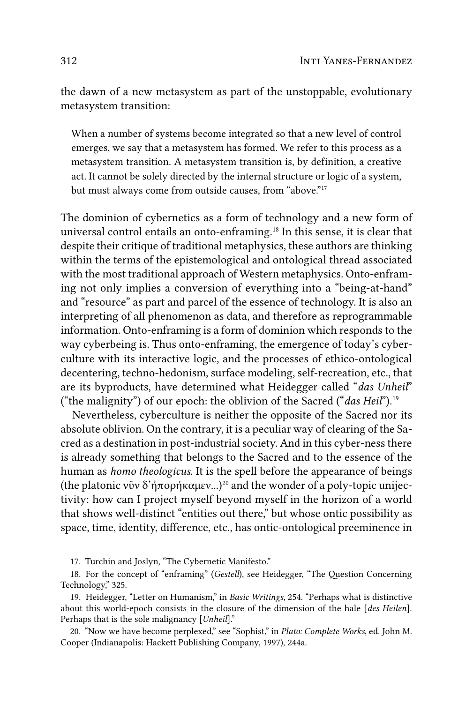the dawn of a new metasystem as part of the unstoppable, evolutionary metasystem transition:

When a number of systems become integrated so that a new level of control emerges, we say that a metasystem has formed. We refer to this process as a metasystem transition. A metasystem transition is, by definition, a creative act. It cannot be solely directed by the internal structure or logic of a system, but must always come from outside causes, from "above."<sup>17</sup>

The dominion of cybernetics as a form of technology and a new form of universal control entails an onto-enframing.<sup>18</sup> In this sense, it is clear that despite their critique of traditional metaphysics, these authors are thinking within the terms of the epistemological and ontological thread associated with the most traditional approach of Western metaphysics. Onto-enframing not only implies a conversion of everything into a "being-at-hand" and "resource" as part and parcel of the essence of technology. It is also an interpreting of all phenomenon as data, and therefore as reprogrammable information. Onto-enframing is a form of dominion which responds to the way cyberbeing is. Thus onto-enframing, the emergence of today's cyberculture with its interactive logic, and the processes of ethico-ontological decentering, techno-hedonism, surface modeling, self-recreation, etc., that are its byproducts, have determined what Heidegger called "das Unheil" ("the malignity") of our epoch: the oblivion of the Sacred ("das Heil").<sup>19</sup>

Nevertheless, cyberculture is neither the opposite of the Sacred nor its absolute oblivion. On the contrary, it is a peculiar way of clearing of the Sacred as a destination in post-industrial society. And in this cyber-ness there is already something that belongs to the Sacred and to the essence of the human as *homo theologicus*. It is the spell before the appearance of beings (the platonic νῦν δ'ἠπορήκαμεν...)<sup>20</sup> and the wonder of a poly-topic unijectivity: how can I project myself beyond myself in the horizon of a world that shows well-distinct "entities out there," but whose ontic possibility as space, time, identity, difference, etc., has ontic-ontological preeminence in

17. Turchin and Joslyn, "The Cybernetic Manifesto."

18. For the concept of "enframing" (Gestell), see Heidegger, "The Question Concerning Technology," 325.

19. Heidegger, "Letter on Humanism," in Basic Writings, 254. "Perhaps what is distinctive about this world-epoch consists in the closure of the dimension of the hale [des Heilen]. Perhaps that is the sole malignancy [Unheil]."

20. "Now we have become perplexed," see "Sophist," in Plato: Complete Works, ed. John M. Cooper (Indianapolis: Hackett Publishing Company, 1997), 244a.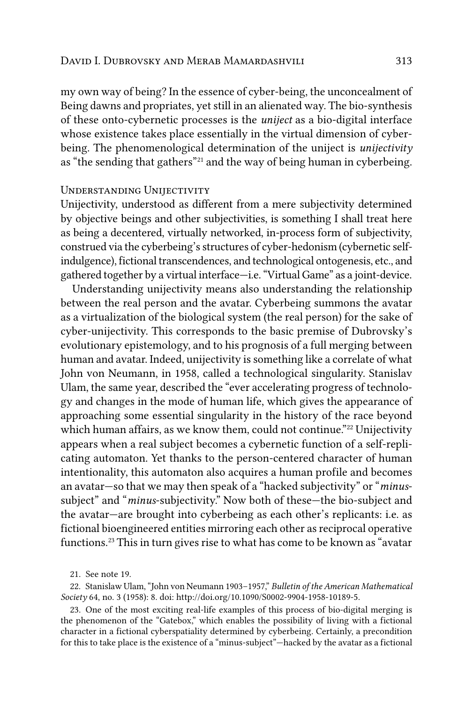my own way of being? In the essence of cyber-being, the unconcealment of Being dawns and propriates, yet still in an alienated way. The bio-synthesis of these onto-cybernetic processes is the *uniject* as a bio-digital interface whose existence takes place essentially in the virtual dimension of cyberbeing. The phenomenological determination of the uniject is *unijectivity* as "the sending that gathers"21 and the way of being human in cyberbeing.

#### Understanding Unijectivity

Unijectivity, understood as different from a mere subjectivity determined by objective beings and other subjectivities, is something I shall treat here as being a decentered, virtually networked, in-process form of subjectivity, construed via the cyberbeing's structures of cyber-hedonism (cybernetic selfindulgence), fictional transcendences, and technological ontogenesis, etc., and gathered together by a virtual interface—i.e. "Virtual Game" as a joint-device.

Understanding unijectivity means also understanding the relationship between the real person and the avatar. Cyberbeing summons the avatar as a virtualization of the biological system (the real person) for the sake of cyber-unijectivity. This corresponds to the basic premise of Dubrovsky's evolutionary epistemology, and to his prognosis of a full merging between human and avatar. Indeed, unijectivity is something like a correlate of what John von Neumann, in 1958, called a technological singularity. Stanislav Ulam, the same year, described the "ever accelerating progress of technology and changes in the mode of human life, which gives the appearance of approaching some essential singularity in the history of the race beyond which human affairs, as we know them, could not continue."<sup>22</sup> Unijectivity appears when a real subject becomes a cybernetic function of a self-replicating automaton. Yet thanks to the person-centered character of human intentionality, this automaton also acquires a human profile and becomes an avatar—so that we may then speak of a "hacked subjectivity" or "*minus*subject" and "*minus*-subjectivity." Now both of these—the bio-subject and the avatar—are brought into cyberbeing as each other's replicants: i.e. as fictional bioengineered entities mirroring each other as reciprocal operative functions.<sup>23</sup> This in turn gives rise to what has come to be known as "avatar

21. See note 19.

22. Stanislaw Ulam, "John von Neumann 1903–1957," *Bulletin of the American Mathematical Society* 64, no. 3 (1958): 8. doi: [http://doi.org/10.1090/S0002-9904-1958-10189-5.](http://doi.org/10.1090/S0002-9904-1958-10189-5)

23. One of the most exciting real-life examples of this process of bio-digital merging is the phenomenon of the "Gatebox," which enables the possibility of living with a fictional character in a fictional cyberspatiality determined by cyberbeing. Certainly, a precondition for this to take place is the existence of a "minus-subject"—hacked by the avatar as a fictional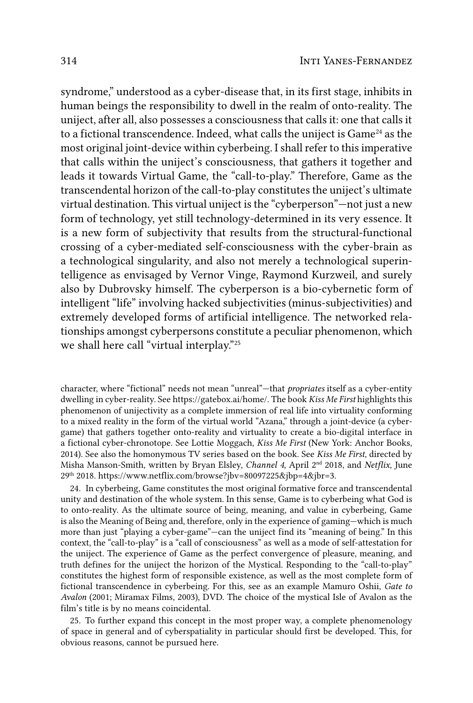syndrome," understood as a cyber-disease that, in its first stage, inhibits in human beings the responsibility to dwell in the realm of onto-reality. The uniject, after all, also possesses a consciousness that calls it: one that calls it to a fictional transcendence. Indeed, what calls the uniject is Game<sup>24</sup> as the most original joint-device within cyberbeing. I shall refer to this imperative that calls within the uniject's consciousness, that gathers it together and leads it towards Virtual Game, the "call-to-play." Therefore, Game as the transcendental horizon of the call-to-play constitutes the uniject's ultimate virtual destination. This virtual uniject is the "cyberperson"—not just a new form of technology, yet still technology-determined in its very essence. It is a new form of subjectivity that results from the structural-functional crossing of a cyber-mediated self-consciousness with the cyber-brain as a technological singularity, and also not merely a technological superintelligence as envisaged by Vernor Vinge, Raymond Kurzweil, and surely also by Dubrovsky himself. The cyberperson is a bio-cybernetic form of intelligent "life" involving hacked subjectivities (minus-subjectivities) and extremely developed forms of artificial intelligence. The networked relationships amongst cyberpersons constitute a peculiar phenomenon, which we shall here call "virtual interplay."25

character, where "fictional" needs not mean "unreal"—that *propriates* itself as a cyber-entity dwelling in cyber-reality. See [https://gatebox.ai/home/.](https://gatebox.ai/home/) The book *Kiss Me First* highlights this phenomenon of unijectivity as a complete immersion of real life into virtuality conforming to a mixed reality in the form of the virtual world "Azana," through a joint-device (a cybergame) that gathers together onto-reality and virtuality to create a bio-digital interface in a fictional cyber-chronotope. See Lottie Moggach, *Kiss Me First* (New York: Anchor Books, 2014). See also the homonymous TV series based on the book. See *Kiss Me First*, directed by Misha Manson-Smith, written by Bryan Elsley, *Channel 4*, April 2nd 2018, and *Netflix*, June 29th 2018. https://www.netf[lix.com/browse?jbv=80097225&jbp=4&jbr=3.](https://www.netflix.com/browse?jbv=80097225&jbp=4&jbr=3)

24. In cyberbeing, Game constitutes the most original formative force and transcendental unity and destination of the whole system. In this sense, Game is to cyberbeing what God is to onto-reality. As the ultimate source of being, meaning, and value in cyberbeing, Game is also the Meaning of Being and, therefore, only in the experience of gaming—which is much more than just "playing a cyber-game"—can the uniject find its "meaning of being." In this context, the "call-to-play" is a "call of consciousness" as well as a mode of self-attestation for the uniject. The experience of Game as the perfect convergence of pleasure, meaning, and truth defines for the uniject the horizon of the Mystical. Responding to the "call-to-play" constitutes the highest form of responsible existence, as well as the most complete form of fictional transcendence in cyberbeing. For this, see as an example Mamuro Oshii, *Gate to Avalon* (2001; Miramax Films, 2003), DVD. The choice of the mystical Isle of Avalon as the film's title is by no means coincidental.

25. To further expand this concept in the most proper way, a complete phenomenology of space in general and of cyberspatiality in particular should first be developed. This, for obvious reasons, cannot be pursued here.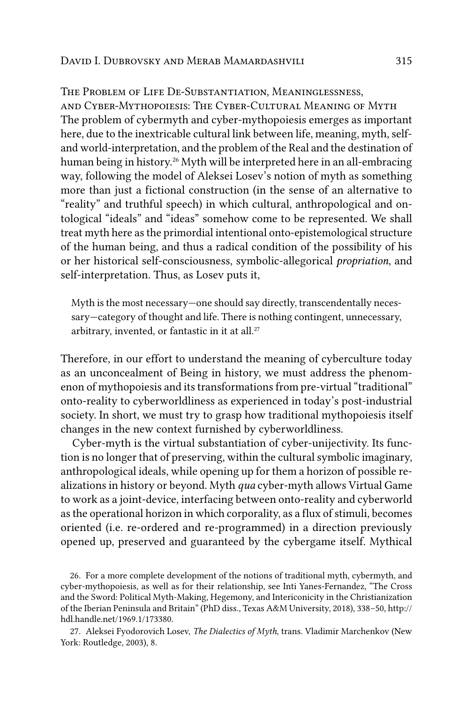#### The Problem of Life De-Substantiation, Meaninglessness,

and Cyber-Mythopoiesis: The Cyber-Cultural Meaning of Myth The problem of cybermyth and cyber-mythopoiesis emerges as important here, due to the inextricable cultural link between life, meaning, myth, selfand world-interpretation, and the problem of the Real and the destination of human being in history.<sup>26</sup> Myth will be interpreted here in an all-embracing way, following the model of Aleksei Losev's notion of myth as something more than just a fictional construction (in the sense of an alternative to "reality" and truthful speech) in which cultural, anthropological and ontological "ideals" and "ideas" somehow come to be represented. We shall treat myth here as the primordial intentional onto-epistemological structure of the human being, and thus a radical condition of the possibility of his or her historical self-consciousness, symbolic-allegorical *propriation*, and self-interpretation. Thus, as Losev puts it,

Myth is the most necessary—one should say directly, transcendentally necessary—category of thought and life. There is nothing contingent, unnecessary, arbitrary, invented, or fantastic in it at all.<sup>27</sup>

Therefore, in our effort to understand the meaning of cyberculture today as an unconcealment of Being in history, we must address the phenomenon of mythopoiesis and its transformations from pre-virtual "traditional" onto-reality to cyberworldliness as experienced in today's post-industrial society. In short, we must try to grasp how traditional mythopoiesis itself changes in the new context furnished by cyberworldliness.

Cyber-myth is the virtual substantiation of cyber-unijectivity. Its function is no longer that of preserving, within the cultural symbolic imaginary, anthropological ideals, while opening up for them a horizon of possible realizations in history or beyond. Myth *qua* cyber-myth allows Virtual Game to work as a joint-device, interfacing between onto-reality and cyberworld as the operational horizon in which corporality, as a flux of stimuli, becomes oriented (i.e. re-ordered and re-programmed) in a direction previously opened up, preserved and guaranteed by the cybergame itself. Mythical

26. For a more complete development of the notions of traditional myth, cybermyth, and cyber-mythopoiesis, as well as for their relationship, see Inti Yanes-Fernandez, "The Cross and the Sword: Political Myth-Making, Hegemony, and Intericonicity in the Christianization of the Iberian Peninsula and Britain" (PhD diss., Texas A&M University, 2018), 338–50, [http://](http://hdl.handle.net/1969.1/173380) [hdl.handle.net/1969.1/173380](http://hdl.handle.net/1969.1/173380).

27. Aleksei Fyodorovich Losev, *The Dialectics of Myth*, trans. Vladimir Marchenkov (New York: Routledge, 2003), 8.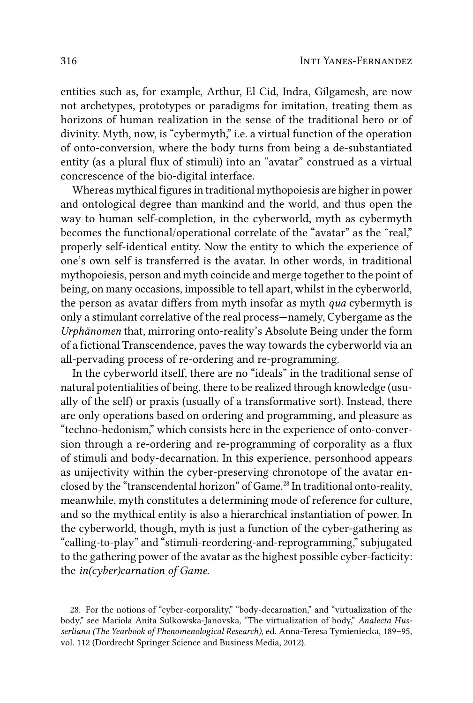entities such as, for example, Arthur, El Cid, Indra, Gilgamesh, are now not archetypes, prototypes or paradigms for imitation, treating them as horizons of human realization in the sense of the traditional hero or of divinity. Myth, now, is "cybermyth," i.e. a virtual function of the operation of onto-conversion, where the body turns from being a de-substantiated entity (as a plural flux of stimuli) into an "avatar" construed as a virtual concrescence of the bio-digital interface.

Whereas mythical figures in traditional mythopoiesis are higher in power and ontological degree than mankind and the world, and thus open the way to human self-completion, in the cyberworld, myth as cybermyth becomes the functional/operational correlate of the "avatar" as the "real," properly self-identical entity. Now the entity to which the experience of one's own self is transferred is the avatar. In other words, in traditional mythopoiesis, person and myth coincide and merge together to the point of being, on many occasions, impossible to tell apart, whilst in the cyberworld, the person as avatar differs from myth insofar as myth *qua* cybermyth is only a stimulant correlative of the real process—namely, Cybergame as the *Urphänomen* that, mirroring onto-reality's Absolute Being under the form of a fictional Transcendence, paves the way towards the cyberworld via an all-pervading process of re-ordering and re-programming.

In the cyberworld itself, there are no "ideals" in the traditional sense of natural potentialities of being, there to be realized through knowledge (usually of the self) or praxis (usually of a transformative sort). Instead, there are only operations based on ordering and programming, and pleasure as "techno-hedonism," which consists here in the experience of onto-conversion through a re-ordering and re-programming of corporality as a flux of stimuli and body-decarnation. In this experience, personhood appears as unijectivity within the cyber-preserving chronotope of the avatar enclosed by the "transcendental horizon" of Game.<sup>28</sup> In traditional onto-reality, meanwhile, myth constitutes a determining mode of reference for culture, and so the mythical entity is also a hierarchical instantiation of power. In the cyberworld, though, myth is just a function of the cyber-gathering as "calling-to-play" and "stimuli-reordering-and-reprogramming," subjugated to the gathering power of the avatar as the highest possible cyber-facticity: the *in(cyber)carnation of Game*.

28. For the notions of "cyber-corporality," "body-decarnation," and "virtualization of the body," see Mariola Anita Sulkowska-Janovska, "The virtualization of body," *Analecta Husserliana (The Yearbook of Phenomenological Research)*, ed. Anna-Teresa Tymieniecka, 189–95, vol. 112 (Dordrecht Springer Science and Business Media, 2012).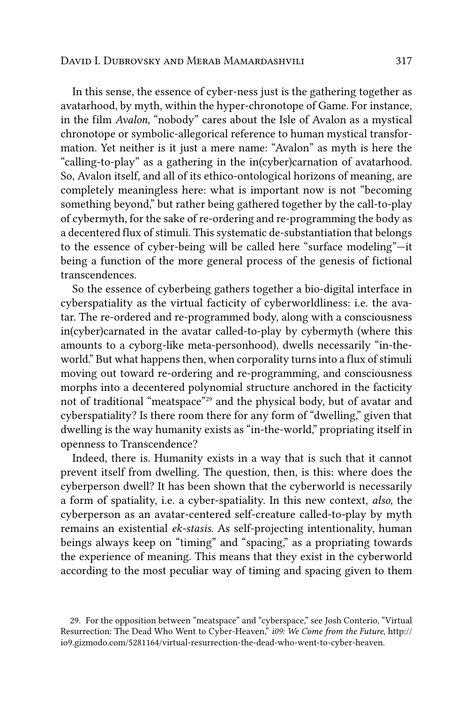In this sense, the essence of cyber-ness just is the gathering together as avatarhood, by myth, within the hyper-chronotope of Game. For instance, in the film *Avalon*, "nobody" cares about the Isle of Avalon as a mystical chronotope or symbolic-allegorical reference to human mystical transformation. Yet neither is it just a mere name: "Avalon" as myth is here the "calling-to-play" as a gathering in the in(cyber)carnation of avatarhood. So, Avalon itself, and all of its ethico-ontological horizons of meaning, are completely meaningless here: what is important now is not "becoming something beyond," but rather being gathered together by the call-to-play of cybermyth, for the sake of re-ordering and re-programming the body as a decentered flux of stimuli. This systematic de-substantiation that belongs to the essence of cyber-being will be called here "surface modeling"—it being a function of the more general process of the genesis of fictional transcendences.

So the essence of cyberbeing gathers together a bio-digital interface in cyberspatiality as the virtual facticity of cyberworldliness: i.e. the avatar. The re-ordered and re-programmed body, along with a consciousness in(cyber)carnated in the avatar called-to-play by cybermyth (where this amounts to a cyborg-like meta-personhood), dwells necessarily "in-theworld." But what happens then, when corporality turns into a flux of stimuli moving out toward re-ordering and re-programming, and consciousness morphs into a decentered polynomial structure anchored in the facticity not of traditional "meatspace"29 and the physical body, but of avatar and cyberspatiality? Is there room there for any form of "dwelling," given that dwelling is the way humanity exists as "in-the-world," propriating itself in openness to Transcendence?

Indeed, there is. Humanity exists in a way that is such that it cannot prevent itself from dwelling. The question, then, is this: where does the cyberperson dwell? It has been shown that the cyberworld is necessarily a form of spatiality, i.e. a cyber-spatiality. In this new context, *also*, the cyberperson as an avatar-centered self-creature called-to-play by myth remains an existential *ek-stasis*. As self-projecting intentionality, human beings always keep on "timing" and "spacing," as a propriating towards the experience of meaning. This means that they exist in the cyberworld according to the most peculiar way of timing and spacing given to them

<sup>29.</sup> For the opposition between "meatspace" and "cyberspace," see Josh Conterio, "Virtual Resurrection: The Dead Who Went to Cyber-Heaven," *i09: We Come from the Future*, [http://](http://io9.gizmodo.com/5281164/virtual-resurrection-the-dead-who-went-to-cyber-heaven) [io9.gizmodo.com/5281164/virtual-resurrection-the-dead-who-went-to-cyber-heaven](http://io9.gizmodo.com/5281164/virtual-resurrection-the-dead-who-went-to-cyber-heaven).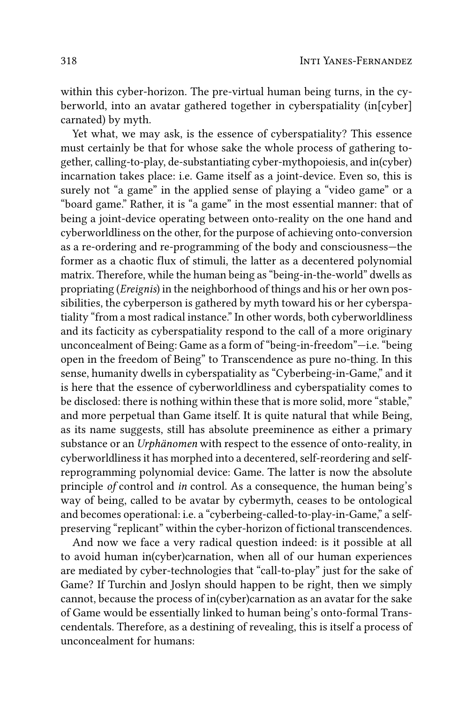within this cyber-horizon. The pre-virtual human being turns, in the cyberworld, into an avatar gathered together in cyberspatiality (in[cyber] carnated) by myth.

Yet what, we may ask, is the essence of cyberspatiality? This essence must certainly be that for whose sake the whole process of gathering together, calling-to-play, de-substantiating cyber-mythopoiesis, and in(cyber) incarnation takes place: i.e. Game itself as a joint-device. Even so, this is surely not "a game" in the applied sense of playing a "video game" or a "board game." Rather, it is "a game" in the most essential manner: that of being a joint-device operating between onto-reality on the one hand and cyberworldliness on the other, for the purpose of achieving onto-conversion as a re-ordering and re-programming of the body and consciousness—the former as a chaotic flux of stimuli, the latter as a decentered polynomial matrix. Therefore, while the human being as "being-in-the-world" dwells as propriating (*Ereignis*) in the neighborhood of things and his or her own possibilities, the cyberperson is gathered by myth toward his or her cyberspatiality "from a most radical instance." In other words, both cyberworldliness and its facticity as cyberspatiality respond to the call of a more originary unconcealment of Being: Game as a form of "being-in-freedom"—i.e. "being open in the freedom of Being" to Transcendence as pure no-thing. In this sense, humanity dwells in cyberspatiality as "Cyberbeing-in-Game," and it is here that the essence of cyberworldliness and cyberspatiality comes to be disclosed: there is nothing within these that is more solid, more "stable," and more perpetual than Game itself. It is quite natural that while Being, as its name suggests, still has absolute preeminence as either a primary substance or an *Urphänomen* with respect to the essence of onto-reality, in cyberworldliness it has morphed into a decentered, self-reordering and selfreprogramming polynomial device: Game. The latter is now the absolute principle *of* control and *in* control. As a consequence, the human being's way of being, called to be avatar by cybermyth, ceases to be ontological and becomes operational: i.e. a "cyberbeing-called-to-play-in-Game," a selfpreserving "replicant" within the cyber-horizon of fictional transcendences.

And now we face a very radical question indeed: is it possible at all to avoid human in(cyber)carnation, when all of our human experiences are mediated by cyber-technologies that "call-to-play" just for the sake of Game? If Turchin and Joslyn should happen to be right, then we simply cannot, because the process of in(cyber)carnation as an avatar for the sake of Game would be essentially linked to human being's onto-formal Transcendentals. Therefore, as a destining of revealing, this is itself a process of unconcealment for humans: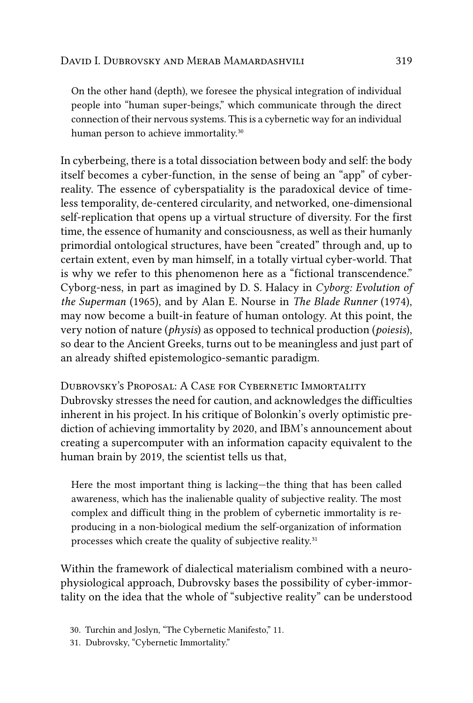On the other hand (depth), we foresee the physical integration of individual people into "human super-beings," which communicate through the direct connection of their nervous systems. This is a cybernetic way for an individual human person to achieve immortality.<sup>30</sup>

In cyberbeing, there is a total dissociation between body and self: the body itself becomes a cyber-function, in the sense of being an "app" of cyberreality. The essence of cyberspatiality is the paradoxical device of timeless temporality, de-centered circularity, and networked, one-dimensional self-replication that opens up a virtual structure of diversity. For the first time, the essence of humanity and consciousness, as well as their humanly primordial ontological structures, have been "created" through and, up to certain extent, even by man himself, in a totally virtual cyber-world. That is why we refer to this phenomenon here as a "fictional transcendence." Cyborg-ness, in part as imagined by D. S. Halacy in *Cyborg: Evolution of the Superman* (1965), and by Alan E. Nourse in *The Blade Runner* (1974), may now become a built-in feature of human ontology. At this point, the very notion of nature (*physis*) as opposed to technical production (*poiesis*), so dear to the Ancient Greeks, turns out to be meaningless and just part of an already shifted epistemologico-semantic paradigm.

Dubrovsky's Proposal: A Case for Cybernetic Immortality Dubrovsky stresses the need for caution, and acknowledges the difficulties inherent in his project. In his critique of Bolonkin's overly optimistic prediction of achieving immortality by 2020, and IBM's announcement about creating a supercomputer with an information capacity equivalent to the human brain by 2019, the scientist tells us that,

Here the most important thing is lacking—the thing that has been called awareness, which has the inalienable quality of subjective reality. The most complex and difficult thing in the problem of cybernetic immortality is reproducing in a non-biological medium the self-organization of information processes which create the quality of subjective reality.<sup>31</sup>

Within the framework of dialectical materialism combined with a neurophysiological approach, Dubrovsky bases the possibility of cyber-immortality on the idea that the whole of "subjective reality" can be understood

<sup>30.</sup> Turchin and Joslyn, "The Cybernetic Manifesto," 11.

<sup>31.</sup> Dubrovsky, "Cybernetic Immortality."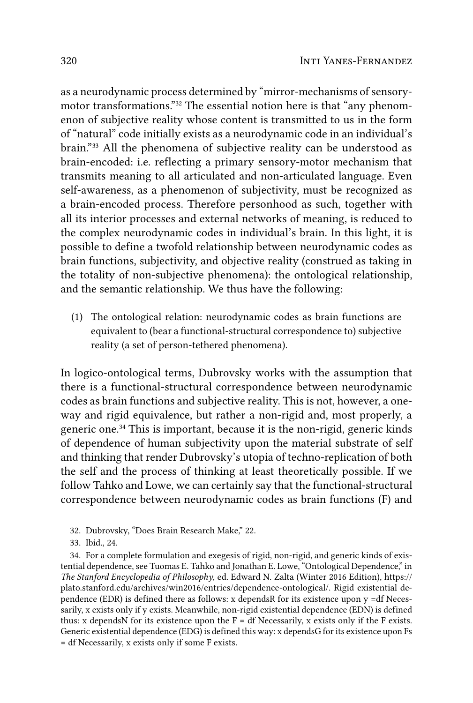as a neurodynamic process determined by "mirror-mechanisms of sensorymotor transformations."<sup>32</sup> The essential notion here is that "any phenomenon of subjective reality whose content is transmitted to us in the form of "natural" code initially exists as a neurodynamic code in an individual's brain."33 All the phenomena of subjective reality can be understood as brain-encoded: i.e. reflecting a primary sensory-motor mechanism that transmits meaning to all articulated and non-articulated language. Even self-awareness, as a phenomenon of subjectivity, must be recognized as a brain-encoded process. Therefore personhood as such, together with all its interior processes and external networks of meaning, is reduced to the complex neurodynamic codes in individual's brain. In this light, it is possible to define a twofold relationship between neurodynamic codes as brain functions, subjectivity, and objective reality (construed as taking in the totality of non-subjective phenomena): the ontological relationship, and the semantic relationship. We thus have the following:

(1) The ontological relation: neurodynamic codes as brain functions are equivalent to (bear a functional-structural correspondence to) subjective reality (a set of person-tethered phenomena).

In logico-ontological terms, Dubrovsky works with the assumption that there is a functional-structural correspondence between neurodynamic codes as brain functions and subjective reality. This is not, however, a oneway and rigid equivalence, but rather a non-rigid and, most properly, a generic one.<sup>34</sup> This is important, because it is the non-rigid, generic kinds of dependence of human subjectivity upon the material substrate of self and thinking that render Dubrovsky's utopia of techno-replication of both the self and the process of thinking at least theoretically possible. If we follow Tahko and Lowe, we can certainly say that the functional-structural correspondence between neurodynamic codes as brain functions (F) and

33. Ibid., 24.

34. For a complete formulation and exegesis of rigid, non-rigid, and generic kinds of existential dependence, see Tuomas E. Tahko and Jonathan E. Lowe, "Ontological Dependence," in The Stanford Encyclopedia of Philosophy, ed. Edward N. Zalta (Winter 2016 Edition), https:// plato.stanford.edu/archives/win2016/entries/dependence-ontological/. Rigid existential dependence (EDR) is defined there as follows: x depends R for its existence upon  $y = df$  Necessarily, x exists only if y exists. Meanwhile, non-rigid existential dependence (EDN) is defined thus: x depends N for its existence upon the  $F = df$  Necessarily, x exists only if the F exists. Generic existential dependence (EDG) is defined this way: x dependsG for its existence upon Fs  $=$  df Necessarily, x exists only if some F exists.

<sup>32.</sup> Dubrovsky, "Does Brain Research Make," 22.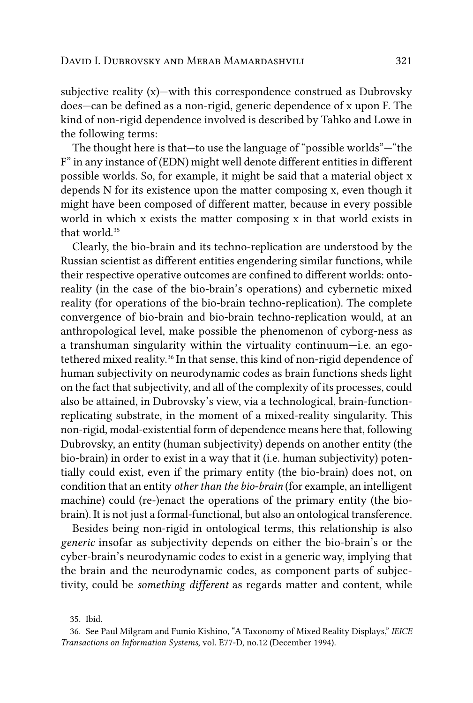subjective reality (x)—with this correspondence construed as Dubrovsky does—can be defined as a non-rigid, generic dependence of x upon F. The kind of non-rigid dependence involved is described by Tahko and Lowe in the following terms:

The thought here is that—to use the language of "possible worlds"—"the F" in any instance of (EDN) might well denote different entities in different possible worlds. So, for example, it might be said that a material object x depends N for its existence upon the matter composing x, even though it might have been composed of different matter, because in every possible world in which x exists the matter composing x in that world exists in that world.<sup>35</sup>

Clearly, the bio-brain and its techno-replication are understood by the Russian scientist as different entities engendering similar functions, while their respective operative outcomes are confined to different worlds: ontoreality (in the case of the bio-brain's operations) and cybernetic mixed reality (for operations of the bio-brain techno-replication). The complete convergence of bio-brain and bio-brain techno-replication would, at an anthropological level, make possible the phenomenon of cyborg-ness as a transhuman singularity within the virtuality continuum—i.e. an egotethered mixed reality.36 In that sense, this kind of non-rigid dependence of human subjectivity on neurodynamic codes as brain functions sheds light on the fact that subjectivity, and all of the complexity of its processes, could also be attained, in Dubrovsky's view, via a technological, brain-functionreplicating substrate, in the moment of a mixed-reality singularity. This non-rigid, modal-existential form of dependence means here that, following Dubrovsky, an entity (human subjectivity) depends on another entity (the bio-brain) in order to exist in a way that it (i.e. human subjectivity) potentially could exist, even if the primary entity (the bio-brain) does not, on condition that an entity *other than the bio-brain* (for example, an intelligent machine) could (re-)enact the operations of the primary entity (the biobrain). It is not just a formal-functional, but also an ontological transference.

Besides being non-rigid in ontological terms, this relationship is also *generic* insofar as subjectivity depends on either the bio-brain's or the cyber-brain's neurodynamic codes to exist in a generic way, implying that the brain and the neurodynamic codes, as component parts of subjectivity, could be *something different* as regards matter and content, while

<sup>35.</sup> Ibid.

<sup>36.</sup> See Paul Milgram and Fumio Kishino, "A Taxonomy of Mixed Reality Displays," *IEICE Transactions on Information Systems*, vol. E77-D, no.12 (December 1994).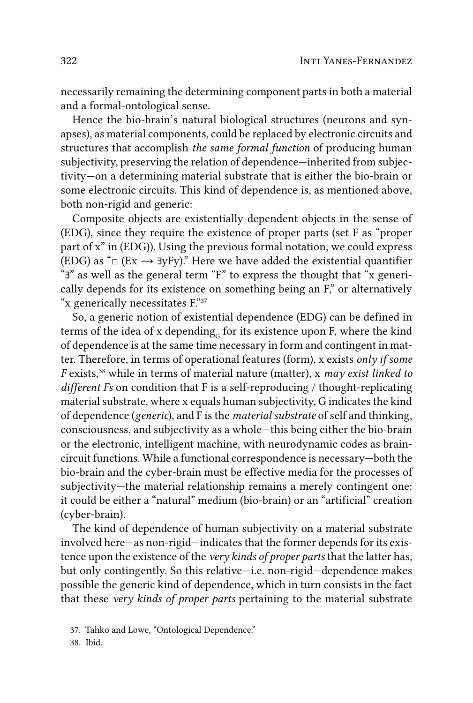necessarily remaining the determining component parts in both a material and a formal-ontological sense.

Hence the bio-brain's natural biological structures (neurons and synapses), as material components, could be replaced by electronic circuits and structures that accomplish the same formal function of producing human subjectivity, preserving the relation of dependence—inherited from subjectivity-on a determining material substrate that is either the bio-brain or some electronic circuits. This kind of dependence is, as mentioned above, both non-rigid and generic:

Composite objects are existentially dependent objects in the sense of (EDG), since they require the existence of proper parts (set F as "proper part of x" in (EDG)). Using the previous formal notation, we could express (EDG) as " $\Box$  (Ex  $\rightarrow$  3yFy)." Here we have added the existential quantifier "J" as well as the general term "F" to express the thought that "x generically depends for its existence on something being an F," or alternatively "x generically necessitates F."37

So, a generic notion of existential dependence (EDG) can be defined in terms of the idea of x depending<sub>c</sub> for its existence upon F, where the kind of dependence is at the same time necessary in form and contingent in matter. Therefore, in terms of operational features (form), x exists only if some *F* exists,<sup>38</sup> while in terms of material nature (matter), x may exist linked to different Fs on condition that F is a self-reproducing / thought-replicating material substrate, where x equals human subjectivity, G indicates the kind of dependence (generic), and F is the *material substrate* of self and thinking, consciousness, and subjectivity as a whole—this being either the bio-brain or the electronic, intelligent machine, with neurodynamic codes as braincircuit functions. While a functional correspondence is necessary—both the bio-brain and the cyber-brain must be effective media for the processes of subjectivity—the material relationship remains a merely contingent one: it could be either a "natural" medium (bio-brain) or an "artificial" creation (cyber-brain).

The kind of dependence of human subjectivity on a material substrate involved here-as non-rigid-indicates that the former depends for its existence upon the existence of the very kinds of proper parts that the latter has, but only contingently. So this relative-i.e. non-rigid-dependence makes possible the generic kind of dependence, which in turn consists in the fact that these very kinds of proper parts pertaining to the material substrate

38. Ibid.

<sup>37.</sup> Tahko and Lowe, "Ontological Dependence."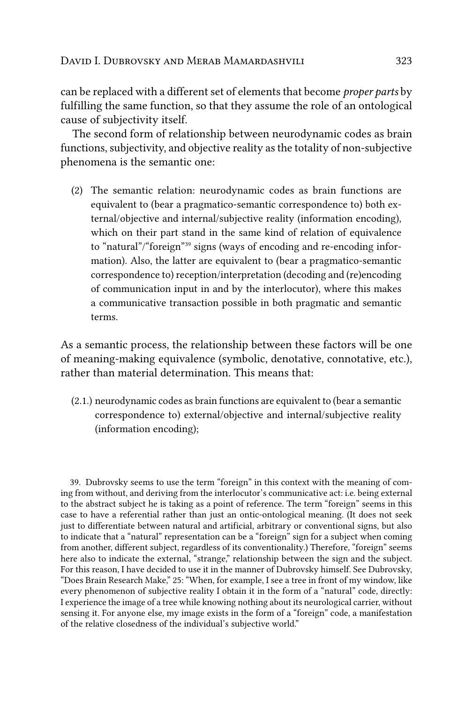can be replaced with a different set of elements that become *proper parts* by fulfilling the same function, so that they assume the role of an ontological cause of subjectivity itself.

The second form of relationship between neurodynamic codes as brain functions, subjectivity, and objective reality as the totality of non-subjective phenomena is the semantic one:

(2) The semantic relation: neurodynamic codes as brain functions are equivalent to (bear a pragmatico-semantic correspondence to) both external/objective and internal/subjective reality (information encoding), which on their part stand in the same kind of relation of equivalence to "natural"/"foreign"39 signs (ways of encoding and re-encoding information). Also, the latter are equivalent to (bear a pragmatico-semantic correspondence to) reception/interpretation (decoding and (re)encoding of communication input in and by the interlocutor), where this makes a communicative transaction possible in both pragmatic and semantic terms.

As a semantic process, the relationship between these factors will be one of meaning-making equivalence (symbolic, denotative, connotative, etc.), rather than material determination. This means that:

(2.1.) neurodynamic codes as brain functions are equivalent to (bear a semantic correspondence to) external/objective and internal/subjective reality (information encoding);

39. Dubrovsky seems to use the term "foreign" in this context with the meaning of coming from without, and deriving from the interlocutor's communicative act: i.e. being external to the abstract subject he is taking as a point of reference. The term "foreign" seems in this case to have a referential rather than just an ontic-ontological meaning. (It does not seek just to differentiate between natural and artificial, arbitrary or conventional signs, but also to indicate that a "natural" representation can be a "foreign" sign for a subject when coming from another, different subject, regardless of its conventionality.) Therefore, "foreign" seems here also to indicate the external, "strange," relationship between the sign and the subject. For this reason, I have decided to use it in the manner of Dubrovsky himself. See Dubrovsky, "Does Brain Research Make," 25: "When, for example, I see a tree in front of my window, like every phenomenon of subjective reality I obtain it in the form of a "natural" code, directly: I experience the image of a tree while knowing nothing about its neurological carrier, without sensing it. For anyone else, my image exists in the form of a "foreign" code, a manifestation of the relative closedness of the individual's subjective world."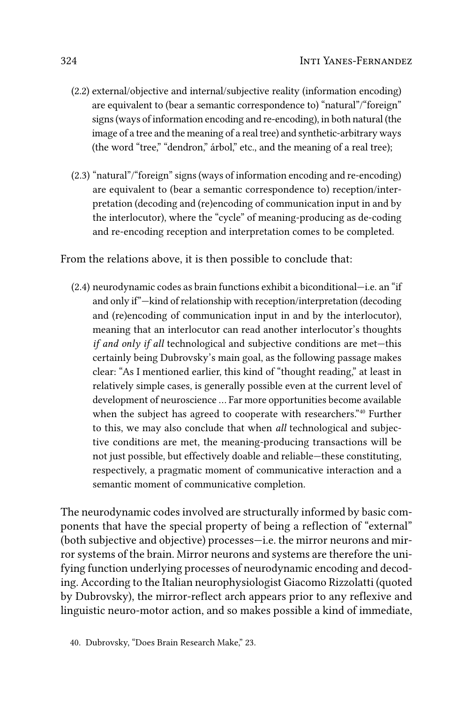- (2.2) external/objective and internal/subjective reality (information encoding) are equivalent to (bear a semantic correspondence to) "natural"/"foreign" signs (ways of information encoding and re-encoding), in both natural (the image of a tree and the meaning of a real tree) and synthetic-arbitrary ways (the word "tree," "dendron," árbol," etc., and the meaning of a real tree);
- (2.3) "natural"/"foreign" signs (ways of information encoding and re-encoding) are equivalent to (bear a semantic correspondence to) reception/interpretation (decoding and (re)encoding of communication input in and by the interlocutor), where the "cycle" of meaning-producing as de-coding and re-encoding reception and interpretation comes to be completed.

## From the relations above, it is then possible to conclude that:

(2.4) neurodynamic codes as brain functions exhibit a biconditional—i.e. an "if and only if"—kind of relationship with reception/interpretation (decoding and (re)encoding of communication input in and by the interlocutor), meaning that an interlocutor can read another interlocutor's thoughts *if and only if all* technological and subjective conditions are met—this certainly being Dubrovsky's main goal, as the following passage makes clear: "As I mentioned earlier, this kind of "thought reading," at least in relatively simple cases, is generally possible even at the current level of development of neuroscience … Far more opportunities become available when the subject has agreed to cooperate with researchers."40 Further to this, we may also conclude that when *all* technological and subjective conditions are met, the meaning-producing transactions will be not just possible, but effectively doable and reliable—these constituting, respectively, a pragmatic moment of communicative interaction and a semantic moment of communicative completion.

The neurodynamic codes involved are structurally informed by basic components that have the special property of being a reflection of "external" (both subjective and objective) processes—i.e. the mirror neurons and mirror systems of the brain. Mirror neurons and systems are therefore the unifying function underlying processes of neurodynamic encoding and decoding. According to the Italian neurophysiologist Giacomo Rizzolatti (quoted by Dubrovsky), the mirror-reflect arch appears prior to any reflexive and linguistic neuro-motor action, and so makes possible a kind of immediate,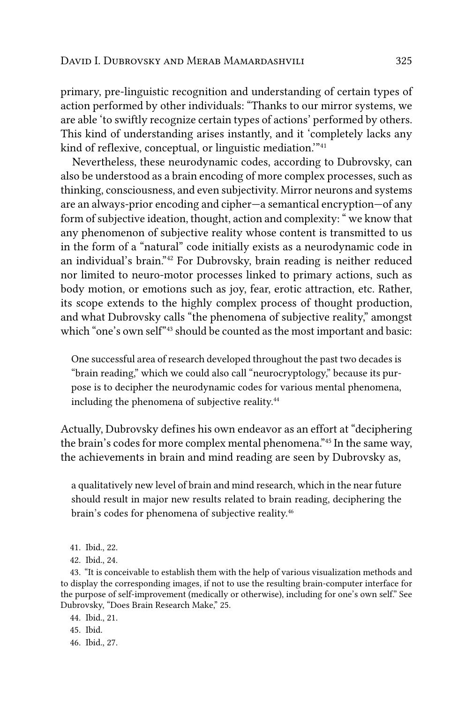primary, pre-linguistic recognition and understanding of certain types of action performed by other individuals: "Thanks to our mirror systems, we are able 'to swiftly recognize certain types of actions' performed by others. This kind of understanding arises instantly, and it 'completely lacks any kind of reflexive, conceptual, or linguistic mediation.'"41

Nevertheless, these neurodynamic codes, according to Dubrovsky, can also be understood as a brain encoding of more complex processes, such as thinking, consciousness, and even subjectivity. Mirror neurons and systems are an always-prior encoding and cipher—a semantical encryption—of any form of subjective ideation, thought, action and complexity: " we know that any phenomenon of subjective reality whose content is transmitted to us in the form of a "natural" code initially exists as a neurodynamic code in an individual's brain."42 For Dubrovsky, brain reading is neither reduced nor limited to neuro-motor processes linked to primary actions, such as body motion, or emotions such as joy, fear, erotic attraction, etc. Rather, its scope extends to the highly complex process of thought production, and what Dubrovsky calls "the phenomena of subjective reality," amongst which "one's own self"<sup>43</sup> should be counted as the most important and basic:

One successful area of research developed throughout the past two decades is "brain reading," which we could also call "neurocryptology," because its purpose is to decipher the neurodynamic codes for various mental phenomena, including the phenomena of subjective reality.<sup>44</sup>

Actually, Dubrovsky defines his own endeavor as an effort at "deciphering the brain's codes for more complex mental phenomena."45 In the same way, the achievements in brain and mind reading are seen by Dubrovsky as,

a qualitatively new level of brain and mind research, which in the near future should result in major new results related to brain reading, deciphering the brain's codes for phenomena of subjective reality.<sup>46</sup>

- 41. Ibid., 22.
- 42. Ibid., 24.

43. "It is conceivable to establish them with the help of various visualization methods and to display the corresponding images, if not to use the resulting brain-computer interface for the purpose of self-improvement (medically or otherwise), including for one's own self." See Dubrovsky, "Does Brain Research Make," 25.

- 44. Ibid., 21.
- 45. Ibid.
- 46. Ibid., 27.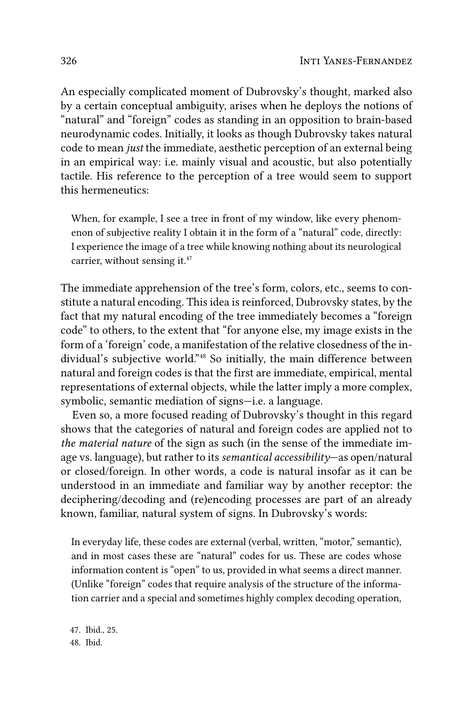An especially complicated moment of Dubrovsky's thought, marked also by a certain conceptual ambiguity, arises when he deploys the notions of "natural" and "foreign" codes as standing in an opposition to brain-based neurodynamic codes. Initially, it looks as though Dubrovsky takes natural code to mean *just* the immediate, aesthetic perception of an external being in an empirical way: i.e. mainly visual and acoustic, but also potentially tactile. His reference to the perception of a tree would seem to support this hermeneutics:

When, for example, I see a tree in front of my window, like every phenomenon of subjective reality I obtain it in the form of a "natural" code, directly: I experience the image of a tree while knowing nothing about its neurological carrier, without sensing it.<sup>47</sup>

The immediate apprehension of the tree's form, colors, etc., seems to constitute a natural encoding. This idea is reinforced, Dubrovsky states, by the fact that my natural encoding of the tree immediately becomes a "foreign code" to others, to the extent that "for anyone else, my image exists in the form of a 'foreign' code, a manifestation of the relative closedness of the individual's subjective world."48 So initially, the main difference between natural and foreign codes is that the first are immediate, empirical, mental representations of external objects, while the latter imply a more complex, symbolic, semantic mediation of signs—i.e. a language.

Even so, a more focused reading of Dubrovsky's thought in this regard shows that the categories of natural and foreign codes are applied not to *the material nature* of the sign as such (in the sense of the immediate image vs. language), but rather to its *semantical accessibility*—as open/natural or closed/foreign. In other words, a code is natural insofar as it can be understood in an immediate and familiar way by another receptor: the deciphering/decoding and (re)encoding processes are part of an already known, familiar, natural system of signs. In Dubrovsky's words:

In everyday life, these codes are external (verbal, written, "motor," semantic), and in most cases these are "natural" codes for us. These are codes whose information content is "open" to us, provided in what seems a direct manner. (Unlike "foreign" codes that require analysis of the structure of the information carrier and a special and sometimes highly complex decoding operation,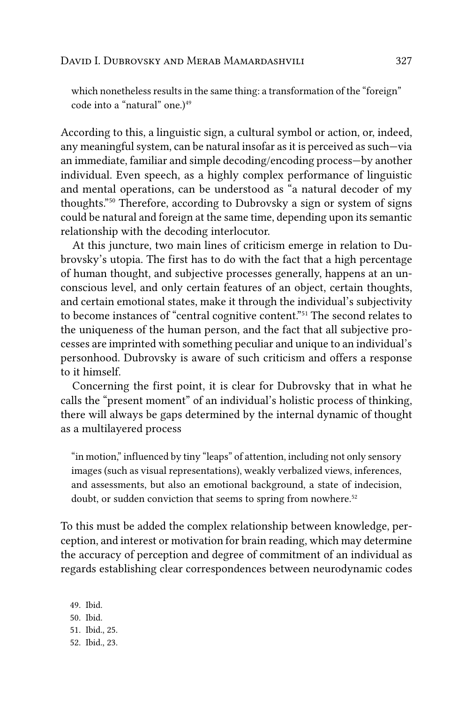which nonetheless results in the same thing: a transformation of the "foreign" code into a "natural" one.)<sup>49</sup>

According to this, a linguistic sign, a cultural symbol or action, or, indeed, any meaningful system, can be natural insofar as it is perceived as such—via an immediate, familiar and simple decoding/encoding process—by another individual. Even speech, as a highly complex performance of linguistic and mental operations, can be understood as "a natural decoder of my thoughts."50 Therefore, according to Dubrovsky a sign or system of signs could be natural and foreign at the same time, depending upon its semantic relationship with the decoding interlocutor.

At this juncture, two main lines of criticism emerge in relation to Dubrovsky's utopia. The first has to do with the fact that a high percentage of human thought, and subjective processes generally, happens at an unconscious level, and only certain features of an object, certain thoughts, and certain emotional states, make it through the individual's subjectivity to become instances of "central cognitive content."51 The second relates to the uniqueness of the human person, and the fact that all subjective processes are imprinted with something peculiar and unique to an individual's personhood. Dubrovsky is aware of such criticism and offers a response to it himself.

Concerning the first point, it is clear for Dubrovsky that in what he calls the "present moment" of an individual's holistic process of thinking, there will always be gaps determined by the internal dynamic of thought as a multilayered process

"in motion," influenced by tiny "leaps" of attention, including not only sensory images (such as visual representations), weakly verbalized views, inferences, and assessments, but also an emotional background, a state of indecision, doubt, or sudden conviction that seems to spring from nowhere.<sup>52</sup>

To this must be added the complex relationship between knowledge, perception, and interest or motivation for brain reading, which may determine the accuracy of perception and degree of commitment of an individual as regards establishing clear correspondences between neurodynamic codes

49. Ibid. 50. Ibid. 51. Ibid., 25. 52. Ibid., 23.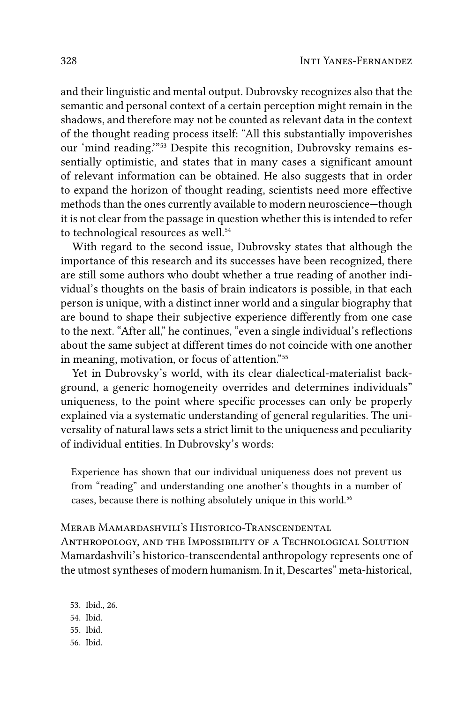and their linguistic and mental output. Dubrovsky recognizes also that the semantic and personal context of a certain perception might remain in the shadows, and therefore may not be counted as relevant data in the context of the thought reading process itself: "All this substantially impoverishes our 'mind reading.'"53 Despite this recognition, Dubrovsky remains essentially optimistic, and states that in many cases a significant amount of relevant information can be obtained. He also suggests that in order to expand the horizon of thought reading, scientists need more effective methods than the ones currently available to modern neuroscience—though it is not clear from the passage in question whether this is intended to refer to technological resources as well.<sup>54</sup>

With regard to the second issue, Dubrovsky states that although the importance of this research and its successes have been recognized, there are still some authors who doubt whether a true reading of another individual's thoughts on the basis of brain indicators is possible, in that each person is unique, with a distinct inner world and a singular biography that are bound to shape their subjective experience differently from one case to the next. "After all," he continues, "even a single individual's reflections about the same subject at different times do not coincide with one another in meaning, motivation, or focus of attention."55

Yet in Dubrovsky's world, with its clear dialectical-materialist background, a generic homogeneity overrides and determines individuals" uniqueness, to the point where specific processes can only be properly explained via a systematic understanding of general regularities. The universality of natural laws sets a strict limit to the uniqueness and peculiarity of individual entities. In Dubrovsky's words:

Experience has shown that our individual uniqueness does not prevent us from "reading" and understanding one another's thoughts in a number of cases, because there is nothing absolutely unique in this world.<sup>56</sup>

## Merab Mamardashvili's Historico-Transcendental

Anthropology, and the Impossibility of a Technological Solution Mamardashvili's historico-transcendental anthropology represents one of the utmost syntheses of modern humanism. In it, Descartes" meta-historical,

53. Ibid., 26. 54. Ibid.

- 55. Ibid.
- 
- 56. Ibid.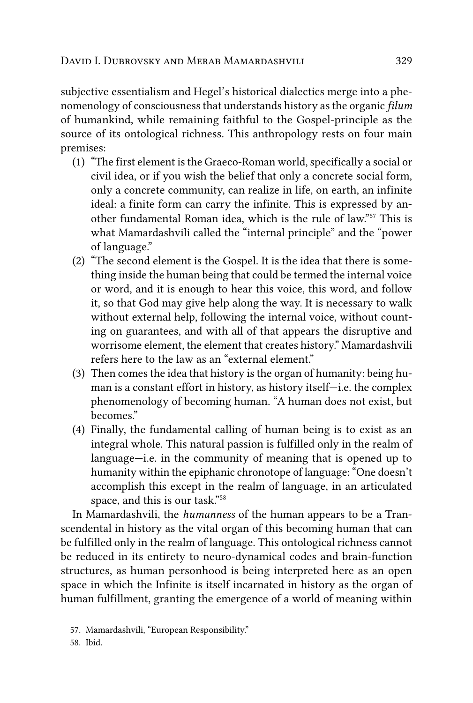subjective essentialism and Hegel's historical dialectics merge into a phenomenology of consciousness that understands history as the organic *filum* of humankind, while remaining faithful to the Gospel-principle as the source of its ontological richness. This anthropology rests on four main premises:

- (1) "The first element is the Graeco-Roman world, specifically a social or civil idea, or if you wish the belief that only a concrete social form, only a concrete community, can realize in life, on earth, an infinite ideal: a finite form can carry the infinite. This is expressed by another fundamental Roman idea, which is the rule of law."57 This is what Mamardashvili called the "internal principle" and the "power of language."
- (2) "The second element is the Gospel. It is the idea that there is something inside the human being that could be termed the internal voice or word, and it is enough to hear this voice, this word, and follow it, so that God may give help along the way. It is necessary to walk without external help, following the internal voice, without counting on guarantees, and with all of that appears the disruptive and worrisome element, the element that creates history." Mamardashvili refers here to the law as an "external element."
- (3) Then comes the idea that history is the organ of humanity: being human is a constant effort in history, as history itself—i.e. the complex phenomenology of becoming human. "A human does not exist, but becomes."
- (4) Finally, the fundamental calling of human being is to exist as an integral whole. This natural passion is fulfilled only in the realm of language—i.e. in the community of meaning that is opened up to humanity within the epiphanic chronotope of language: "One doesn't accomplish this except in the realm of language, in an articulated space, and this is our task."58

In Mamardashvili, the *humanness* of the human appears to be a Transcendental in history as the vital organ of this becoming human that can be fulfilled only in the realm of language. This ontological richness cannot be reduced in its entirety to neuro-dynamical codes and brain-function structures, as human personhood is being interpreted here as an open space in which the Infinite is itself incarnated in history as the organ of human fulfillment, granting the emergence of a world of meaning within

<sup>57.</sup> Mamardashvili, "European Responsibility."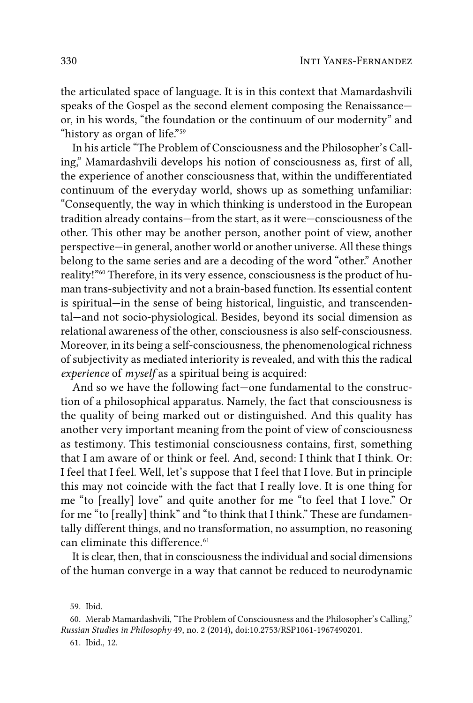the articulated space of language. It is in this context that Mamardashvili speaks of the Gospel as the second element composing the Renaissance or, in his words, "the foundation or the continuum of our modernity" and "history as organ of life."59

In his article "The Problem of Consciousness and the Philosopher's Calling," Mamardashvili develops his notion of consciousness as, first of all, the experience of another consciousness that, within the undifferentiated continuum of the everyday world, shows up as something unfamiliar: "Consequently, the way in which thinking is understood in the European tradition already contains—from the start, as it were—consciousness of the other. This other may be another person, another point of view, another perspective—in general, another world or another universe. All these things belong to the same series and are a decoding of the word "other." Another reality!"60 Therefore, in its very essence, consciousness is the product of human trans-subjectivity and not a brain-based function. Its essential content is spiritual—in the sense of being historical, linguistic, and transcendental—and not socio-physiological. Besides, beyond its social dimension as relational awareness of the other, consciousness is also self-consciousness. Moreover, in its being a self-consciousness, the phenomenological richness of subjectivity as mediated interiority is revealed, and with this the radical *experience* of *myself* as a spiritual being is acquired:

And so we have the following fact—one fundamental to the construction of a philosophical apparatus. Namely, the fact that consciousness is the quality of being marked out or distinguished. And this quality has another very important meaning from the point of view of consciousness as testimony. This testimonial consciousness contains, first, something that I am aware of or think or feel. And, second: I think that I think. Or: I feel that I feel. Well, let's suppose that I feel that I love. But in principle this may not coincide with the fact that I really love. It is one thing for me "to [really] love" and quite another for me "to feel that I love." Or for me "to [really] think" and "to think that I think." These are fundamentally different things, and no transformation, no assumption, no reasoning can eliminate this difference.<sup>61</sup>

It is clear, then, that in consciousness the individual and social dimensions of the human converge in a way that cannot be reduced to neurodynamic

59. Ibid.

61. Ibid., 12.

<sup>60.</sup> Merab Mamardashvili, "The Problem of Consciousness and the Philosopher's Calling," *Russian Studies in Philosophy* 49, no. 2 (2014)**,** doi:10.2753/RSP1061-1967490201.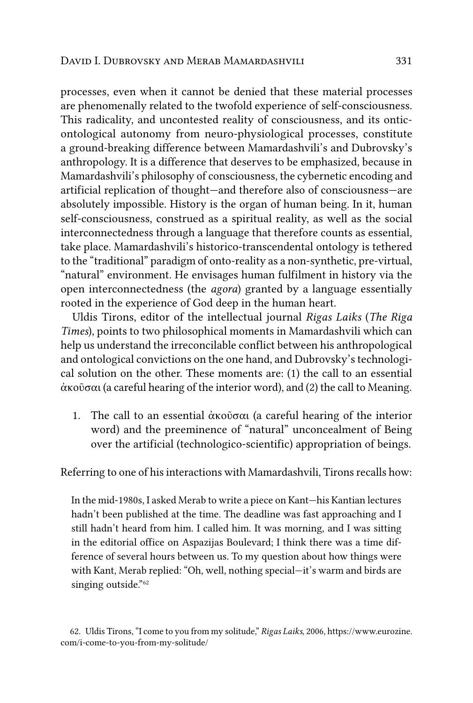processes, even when it cannot be denied that these material processes are phenomenally related to the twofold experience of self-consciousness. This radicality, and uncontested reality of consciousness, and its onticontological autonomy from neuro-physiological processes, constitute a ground-breaking difference between Mamardashvili's and Dubrovsky's anthropology. It is a difference that deserves to be emphasized, because in Mamardashvili's philosophy of consciousness, the cybernetic encoding and artificial replication of thought—and therefore also of consciousness—are absolutely impossible. History is the organ of human being. In it, human self-consciousness, construed as a spiritual reality, as well as the social interconnectedness through a language that therefore counts as essential, take place. Mamardashvili's historico-transcendental ontology is tethered to the "traditional" paradigm of onto-reality as a non-synthetic, pre-virtual, "natural" environment. He envisages human fulfilment in history via the open interconnectedness (the *agora*) granted by a language essentially rooted in the experience of God deep in the human heart.

Uldis Tirons, editor of the intellectual journal *Rigas Laiks* (*The Riga Times*), points to two philosophical moments in Mamardashvili which can help us understand the irreconcilable conflict between his anthropological and ontological convictions on the one hand, and Dubrovsky's technological solution on the other. These moments are: (1) the call to an essential ἀκοῦσαι (a careful hearing of the interior word), and (2) the call to Meaning.

1. The call to an essential ἀκοῦσαι (a careful hearing of the interior word) and the preeminence of "natural" unconcealment of Being over the artificial (technologico-scientific) appropriation of beings.

Referring to one of his interactions with Mamardashvili, Tirons recalls how:

In the mid-1980s, I asked Merab to write a piece on Kant—his Kantian lectures hadn't been published at the time. The deadline was fast approaching and I still hadn't heard from him. I called him. It was morning, and I was sitting in the editorial office on Aspazijas Boulevard; I think there was a time difference of several hours between us. To my question about how things were with Kant, Merab replied: "Oh, well, nothing special—it's warm and birds are singing outside."<sup>62</sup>

<sup>62.</sup> Uldis Tirons, "I come to you from my solitude," *Rigas Laiks*, 2006, [https://www.eurozine.](https://www.eurozine.com/i-come-to-you-from-my-solitude/) [com/i-come-to-you-from-my-solitude/](https://www.eurozine.com/i-come-to-you-from-my-solitude/)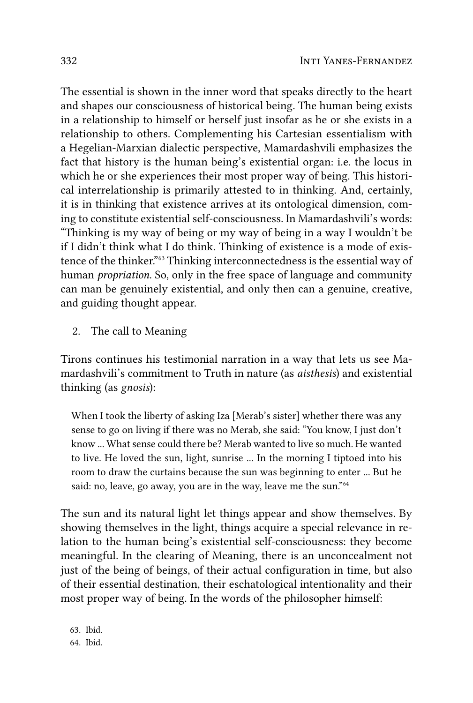The essential is shown in the inner word that speaks directly to the heart and shapes our consciousness of historical being. The human being exists in a relationship to himself or herself just insofar as he or she exists in a relationship to others. Complementing his Cartesian essentialism with a Hegelian-Marxian dialectic perspective, Mamardashvili emphasizes the fact that history is the human being's existential organ: i.e. the locus in which he or she experiences their most proper way of being. This historical interrelationship is primarily attested to in thinking. And, certainly, it is in thinking that existence arrives at its ontological dimension, coming to constitute existential self-consciousness. In Mamardashvili's words: "Thinking is my way of being or my way of being in a way I wouldn't be if I didn't think what I do think. Thinking of existence is a mode of existence of the thinker."63 Thinking interconnectedness is the essential way of human *propriation*. So, only in the free space of language and community can man be genuinely existential, and only then can a genuine, creative, and guiding thought appear.

2. The call to Meaning

Tirons continues his testimonial narration in a way that lets us see Mamardashvili's commitment to Truth in nature (as *aisthesis*) and existential thinking (as *gnosis*):

When I took the liberty of asking Iza [Merab's sister] whether there was any sense to go on living if there was no Merab, she said: "You know, I just don't know ... What sense could there be? Merab wanted to live so much. He wanted to live. He loved the sun, light, sunrise ... In the morning I tiptoed into his room to draw the curtains because the sun was beginning to enter ... But he said: no, leave, go away, you are in the way, leave me the sun."<sup>64</sup>

The sun and its natural light let things appear and show themselves. By showing themselves in the light, things acquire a special relevance in relation to the human being's existential self-consciousness: they become meaningful. In the clearing of Meaning, there is an unconcealment not just of the being of beings, of their actual configuration in time, but also of their essential destination, their eschatological intentionality and their most proper way of being. In the words of the philosopher himself: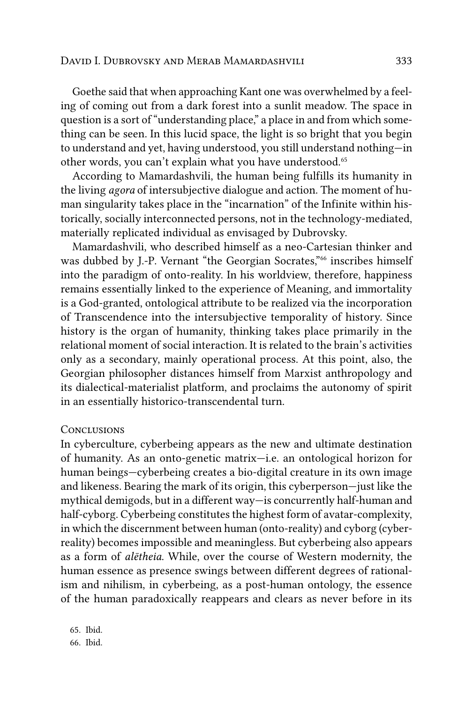Goethe said that when approaching Kant one was overwhelmed by a feeling of coming out from a dark forest into a sunlit meadow. The space in question is a sort of "understanding place," a place in and from which something can be seen. In this lucid space, the light is so bright that you begin to understand and yet, having understood, you still understand nothing—in other words, you can't explain what you have understood.65

According to Mamardashvili, the human being fulfills its humanity in the living *agora* of intersubjective dialogue and action. The moment of human singularity takes place in the "incarnation" of the Infinite within historically, socially interconnected persons, not in the technology-mediated, materially replicated individual as envisaged by Dubrovsky.

Mamardashvili, who described himself as a neo-Cartesian thinker and was dubbed by J.-P. Vernant "the Georgian Socrates,"<sup>66</sup> inscribes himself into the paradigm of onto-reality. In his worldview, therefore, happiness remains essentially linked to the experience of Meaning, and immortality is a God-granted, ontological attribute to be realized via the incorporation of Transcendence into the intersubjective temporality of history. Since history is the organ of humanity, thinking takes place primarily in the relational moment of social interaction. It is related to the brain's activities only as a secondary, mainly operational process. At this point, also, the Georgian philosopher distances himself from Marxist anthropology and its dialectical-materialist platform, and proclaims the autonomy of spirit in an essentially historico-transcendental turn.

#### **CONCLUSIONS**

In cyberculture, cyberbeing appears as the new and ultimate destination of humanity. As an onto-genetic matrix—i.e. an ontological horizon for human beings—cyberbeing creates a bio-digital creature in its own image and likeness. Bearing the mark of its origin, this cyberperson—just like the mythical demigods, but in a different way—is concurrently half-human and half-cyborg. Cyberbeing constitutes the highest form of avatar-complexity, in which the discernment between human (onto-reality) and cyborg (cyberreality) becomes impossible and meaningless. But cyberbeing also appears as a form of *alētheia*. While, over the course of Western modernity, the human essence as presence swings between different degrees of rationalism and nihilism, in cyberbeing, as a post-human ontology, the essence of the human paradoxically reappears and clears as never before in its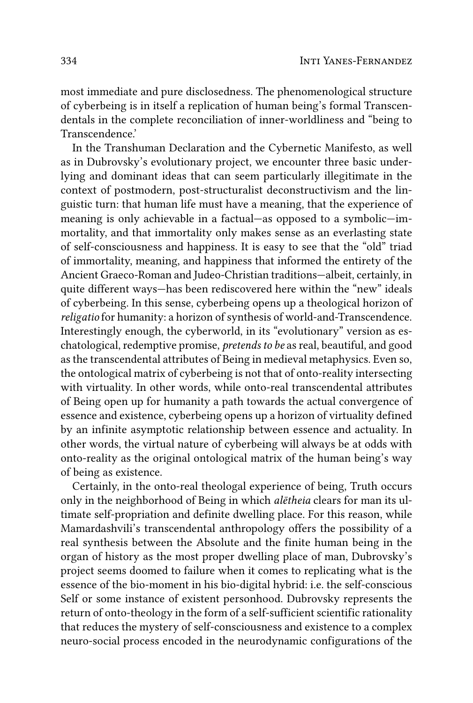most immediate and pure disclosedness. The phenomenological structure of cyberbeing is in itself a replication of human being's formal Transcendentals in the complete reconciliation of inner-worldliness and "being to Transcendence.'

In the Transhuman Declaration and the Cybernetic Manifesto, as well as in Dubrovsky's evolutionary project, we encounter three basic underlying and dominant ideas that can seem particularly illegitimate in the context of postmodern, post-structuralist deconstructivism and the linguistic turn: that human life must have a meaning, that the experience of meaning is only achievable in a factual—as opposed to a symbolic—immortality, and that immortality only makes sense as an everlasting state of self-consciousness and happiness. It is easy to see that the "old" triad of immortality, meaning, and happiness that informed the entirety of the Ancient Graeco-Roman and Judeo-Christian traditions—albeit, certainly, in quite different ways—has been rediscovered here within the "new" ideals of cyberbeing. In this sense, cyberbeing opens up a theological horizon of *religatio* for humanity: a horizon of synthesis of world-and-Transcendence. Interestingly enough, the cyberworld, in its "evolutionary" version as eschatological, redemptive promise, *pretends to be* as real, beautiful, and good as the transcendental attributes of Being in medieval metaphysics. Even so, the ontological matrix of cyberbeing is not that of onto-reality intersecting with virtuality. In other words, while onto-real transcendental attributes of Being open up for humanity a path towards the actual convergence of essence and existence, cyberbeing opens up a horizon of virtuality defined by an infinite asymptotic relationship between essence and actuality. In other words, the virtual nature of cyberbeing will always be at odds with onto-reality as the original ontological matrix of the human being's way of being as existence.

Certainly, in the onto-real theologal experience of being, Truth occurs only in the neighborhood of Being in which *alētheia* clears for man its ultimate self-propriation and definite dwelling place. For this reason, while Mamardashvili's transcendental anthropology offers the possibility of a real synthesis between the Absolute and the finite human being in the organ of history as the most proper dwelling place of man, Dubrovsky's project seems doomed to failure when it comes to replicating what is the essence of the bio-moment in his bio-digital hybrid: i.e. the self-conscious Self or some instance of existent personhood. Dubrovsky represents the return of onto-theology in the form of a self-sufficient scientific rationality that reduces the mystery of self-consciousness and existence to a complex neuro-social process encoded in the neurodynamic configurations of the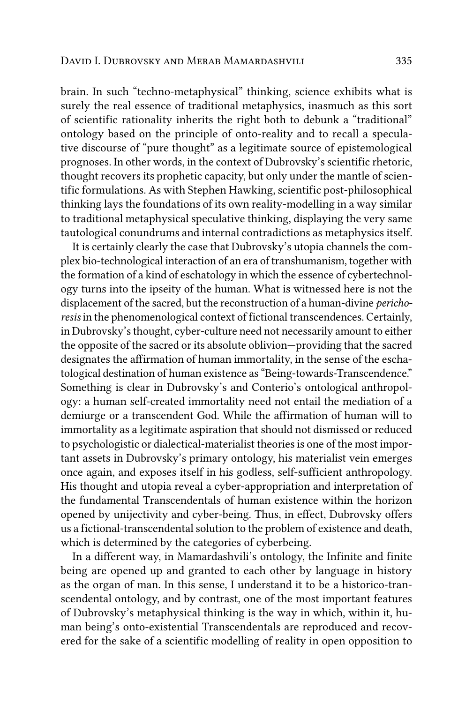brain. In such "techno-metaphysical" thinking, science exhibits what is surely the real essence of traditional metaphysics, inasmuch as this sort of scientific rationality inherits the right both to debunk a "traditional" ontology based on the principle of onto-reality and to recall a speculative discourse of "pure thought" as a legitimate source of epistemological prognoses. In other words, in the context of Dubrovsky's scientific rhetoric, thought recovers its prophetic capacity, but only under the mantle of scientific formulations. As with Stephen Hawking, scientific post-philosophical thinking lays the foundations of its own reality-modelling in a way similar to traditional metaphysical speculative thinking, displaying the very same tautological conundrums and internal contradictions as metaphysics itself.

It is certainly clearly the case that Dubrovsky's utopia channels the complex bio-technological interaction of an era of transhumanism, together with the formation of a kind of eschatology in which the essence of cybertechnology turns into the ipseity of the human. What is witnessed here is not the displacement of the sacred, but the reconstruction of a human-divine *perichoresis* in the phenomenological context of fictional transcendences. Certainly, in Dubrovsky's thought, cyber-culture need not necessarily amount to either the opposite of the sacred or its absolute oblivion—providing that the sacred designates the affirmation of human immortality, in the sense of the eschatological destination of human existence as "Being-towards-Transcendence." Something is clear in Dubrovsky's and Conterio's ontological anthropology: a human self-created immortality need not entail the mediation of a demiurge or a transcendent God. While the affirmation of human will to immortality as a legitimate aspiration that should not dismissed or reduced to psychologistic or dialectical-materialist theories is one of the most important assets in Dubrovsky's primary ontology, his materialist vein emerges once again, and exposes itself in his godless, self-sufficient anthropology. His thought and utopia reveal a cyber-appropriation and interpretation of the fundamental Transcendentals of human existence within the horizon opened by unijectivity and cyber-being. Thus, in effect, Dubrovsky offers us a fictional-transcendental solution to the problem of existence and death, which is determined by the categories of cyberbeing.

In a different way, in Mamardashvili's ontology, the Infinite and finite being are opened up and granted to each other by language in history as the organ of man. In this sense, I understand it to be a historico-transcendental ontology, and by contrast, one of the most important features of Dubrovsky's metaphysical thinking is the way in which, within it, human being's onto-existential Transcendentals are reproduced and recovered for the sake of a scientific modelling of reality in open opposition to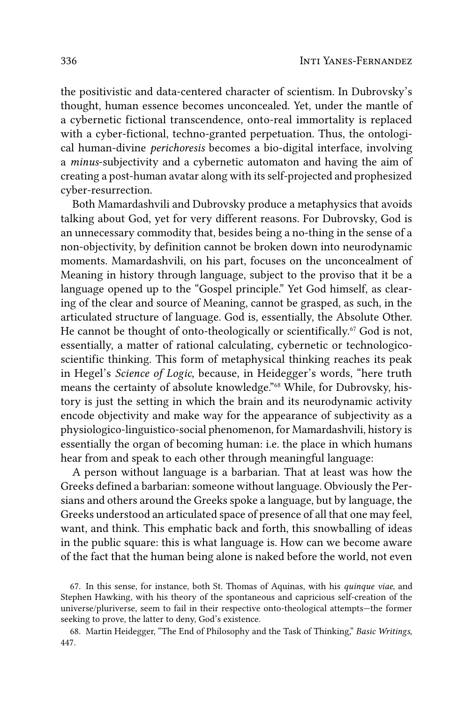the positivistic and data-centered character of scientism. In Dubrovsky's thought, human essence becomes unconcealed. Yet, under the mantle of a cybernetic fictional transcendence, onto-real immortality is replaced with a cyber-fictional, techno-granted perpetuation. Thus, the ontological human-divine perichoresis becomes a bio-digital interface, involving a minus-subjectivity and a cybernetic automaton and having the aim of creating a post-human avatar along with its self-projected and prophesized cyber-resurrection.

Both Mamardashvili and Dubrovsky produce a metaphysics that avoids talking about God, yet for very different reasons. For Dubrovsky, God is an unnecessary commodity that, besides being a no-thing in the sense of a non-objectivity, by definition cannot be broken down into neurodynamic moments. Mamardashvili, on his part, focuses on the unconcealment of Meaning in history through language, subject to the proviso that it be a language opened up to the "Gospel principle." Yet God himself, as clearing of the clear and source of Meaning, cannot be grasped, as such, in the articulated structure of language. God is, essentially, the Absolute Other. He cannot be thought of onto-theologically or scientifically.<sup>67</sup> God is not, essentially, a matter of rational calculating, cybernetic or technologicoscientific thinking. This form of metaphysical thinking reaches its peak in Hegel's Science of Logic, because, in Heidegger's words, "here truth means the certainty of absolute knowledge."<sup>68</sup> While, for Dubrovsky, history is just the setting in which the brain and its neurodynamic activity encode objectivity and make way for the appearance of subjectivity as a physiologico-linguistico-social phenomenon, for Mamardashvili, history is essentially the organ of becoming human: i.e. the place in which humans hear from and speak to each other through meaningful language:

A person without language is a barbarian. That at least was how the Greeks defined a barbarian: someone without language. Obviously the Persians and others around the Greeks spoke a language, but by language, the Greeks understood an articulated space of presence of all that one may feel, want, and think. This emphatic back and forth, this snowballing of ideas in the public square: this is what language is. How can we become aware of the fact that the human being alone is naked before the world, not even

<sup>67.</sup> In this sense, for instance, both St. Thomas of Aquinas, with his *quinque viae*, and Stephen Hawking, with his theory of the spontaneous and capricious self-creation of the universe/pluriverse, seem to fail in their respective onto-theological attempts-the former seeking to prove, the latter to deny, God's existence.

<sup>68.</sup> Martin Heidegger, "The End of Philosophy and the Task of Thinking," Basic Writings, 447.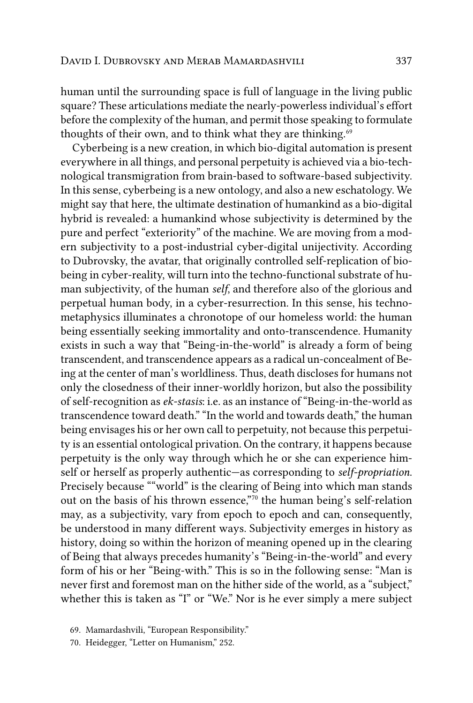human until the surrounding space is full of language in the living public square? These articulations mediate the nearly-powerless individual's effort before the complexity of the human, and permit those speaking to formulate thoughts of their own, and to think what they are thinking. $69$ 

Cyberbeing is a new creation, in which bio-digital automation is present everywhere in all things, and personal perpetuity is achieved via a bio-technological transmigration from brain-based to software-based subjectivity. In this sense, cyberbeing is a new ontology, and also a new eschatology. We might say that here, the ultimate destination of humankind as a bio-digital hybrid is revealed: a humankind whose subjectivity is determined by the pure and perfect "exteriority" of the machine. We are moving from a modern subjectivity to a post-industrial cyber-digital unijectivity. According to Dubrovsky, the avatar, that originally controlled self-replication of biobeing in cyber-reality, will turn into the techno-functional substrate of human subjectivity, of the human *self*, and therefore also of the glorious and perpetual human body, in a cyber-resurrection. In this sense, his technometaphysics illuminates a chronotope of our homeless world: the human being essentially seeking immortality and onto-transcendence. Humanity exists in such a way that "Being-in-the-world" is already a form of being transcendent, and transcendence appears as a radical un-concealment of Being at the center of man's worldliness. Thus, death discloses for humans not only the closedness of their inner-worldly horizon, but also the possibility of self-recognition as *ek-stasis*: i.e. as an instance of "Being-in-the-world as transcendence toward death." "In the world and towards death," the human being envisages his or her own call to perpetuity, not because this perpetuity is an essential ontological privation. On the contrary, it happens because perpetuity is the only way through which he or she can experience himself or herself as properly authentic—as corresponding to *self-propriation*. Precisely because ""world" is the clearing of Being into which man stands out on the basis of his thrown essence,"70 the human being's self-relation may, as a subjectivity, vary from epoch to epoch and can, consequently, be understood in many different ways. Subjectivity emerges in history as history, doing so within the horizon of meaning opened up in the clearing of Being that always precedes humanity's "Being-in-the-world" and every form of his or her "Being-with." This is so in the following sense: "Man is never first and foremost man on the hither side of the world, as a "subject," whether this is taken as "I" or "We." Nor is he ever simply a mere subject

70. Heidegger, "Letter on Humanism," 252.

<sup>69.</sup> Mamardashvili, "European Responsibility."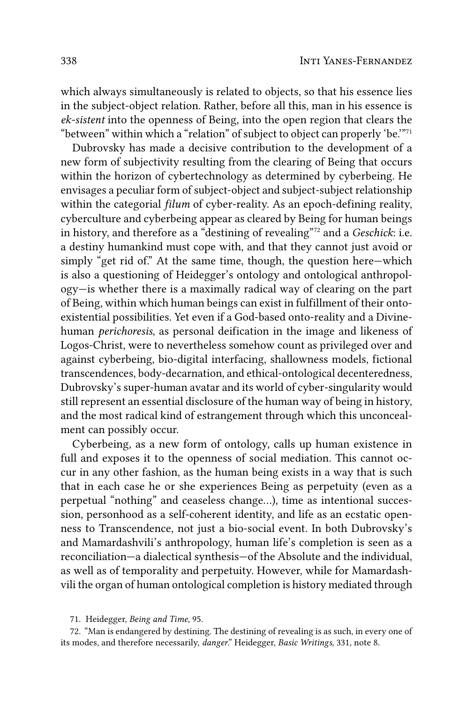which always simultaneously is related to objects, so that his essence lies in the subject-object relation. Rather, before all this, man in his essence is ek-sistent into the openness of Being, into the open region that clears the "between" within which a "relation" of subject to object can properly 'be."<sup>71</sup>

Dubrovsky has made a decisive contribution to the development of a new form of subjectivity resulting from the clearing of Being that occurs within the horizon of cybertechnology as determined by cyberbeing. He envisages a peculiar form of subject-object and subject-subject relationship within the categorial *filum* of cyber-reality. As an epoch-defining reality, cyberculture and cyberbeing appear as cleared by Being for human beings in history, and therefore as a "destining of revealing"<sup>72</sup> and a *Geschick*: i.e. a destiny humankind must cope with, and that they cannot just avoid or simply "get rid of." At the same time, though, the question here—which is also a questioning of Heidegger's ontology and ontological anthropology-is whether there is a maximally radical way of clearing on the part of Being, within which human beings can exist in fulfillment of their ontoexistential possibilities. Yet even if a God-based onto-reality and a Divinehuman perichoresis, as personal deification in the image and likeness of Logos-Christ, were to nevertheless somehow count as privileged over and against cyberbeing, bio-digital interfacing, shallowness models, fictional transcendences, body-decarnation, and ethical-ontological decenteredness, Dubrovsky's super-human avatar and its world of cyber-singularity would still represent an essential disclosure of the human way of being in history, and the most radical kind of estrangement through which this unconcealment can possibly occur.

Cyberbeing, as a new form of ontology, calls up human existence in full and exposes it to the openness of social mediation. This cannot occur in any other fashion, as the human being exists in a way that is such that in each case he or she experiences Being as perpetuity (even as a perpetual "nothing" and ceaseless change...), time as intentional succession, personhood as a self-coherent identity, and life as an ecstatic openness to Transcendence, not just a bio-social event. In both Dubrovsky's and Mamardashvili's anthropology, human life's completion is seen as a reconciliation-a dialectical synthesis-of the Absolute and the individual, as well as of temporality and perpetuity. However, while for Mamardashvili the organ of human ontological completion is history mediated through

<sup>71.</sup> Heidegger, Being and Time, 95.

<sup>72. &</sup>quot;Man is endangered by destining. The destining of revealing is as such, in every one of its modes, and therefore necessarily, danger." Heidegger, Basic Writings, 331, note 8.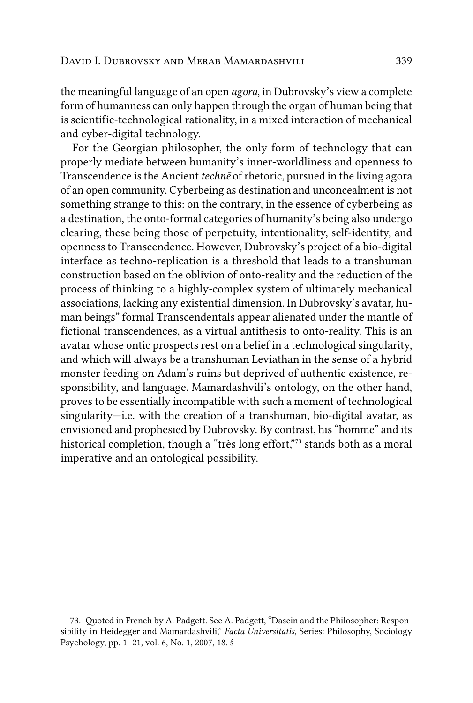the meaningful language of an open *agora*, in Dubrovsky's view a complete form of humanness can only happen through the organ of human being that is scientific-technological rationality, in a mixed interaction of mechanical and cyber-digital technology.

For the Georgian philosopher, the only form of technology that can properly mediate between humanity's inner-worldliness and openness to Transcendence is the Ancient *technē* of rhetoric, pursued in the living agora of an open community. Cyberbeing as destination and unconcealment is not something strange to this: on the contrary, in the essence of cyberbeing as a destination, the onto-formal categories of humanity's being also undergo clearing, these being those of perpetuity, intentionality, self-identity, and openness to Transcendence. However, Dubrovsky's project of a bio-digital interface as techno-replication is a threshold that leads to a transhuman construction based on the oblivion of onto-reality and the reduction of the process of thinking to a highly-complex system of ultimately mechanical associations, lacking any existential dimension. In Dubrovsky's avatar, human beings" formal Transcendentals appear alienated under the mantle of fictional transcendences, as a virtual antithesis to onto-reality. This is an avatar whose ontic prospects rest on a belief in a technological singularity, and which will always be a transhuman Leviathan in the sense of a hybrid monster feeding on Adam's ruins but deprived of authentic existence, responsibility, and language. Mamardashvili's ontology, on the other hand, proves to be essentially incompatible with such a moment of technological singularity—i.e. with the creation of a transhuman, bio-digital avatar, as envisioned and prophesied by Dubrovsky. By contrast, his "homme" and its historical completion, though a "très long effort,"<sup>73</sup> stands both as a moral imperative and an ontological possibility.

<sup>73.</sup> Quoted in French by A. Padgett. See A. Padgett, "Dasein and the Philosopher: Responsibility in Heidegger and Mamardashvili," *Facta Universitatis*, Series: Philosophy, Sociology Psychology, pp. 1–21, vol. 6, No. 1, 2007, 18. ś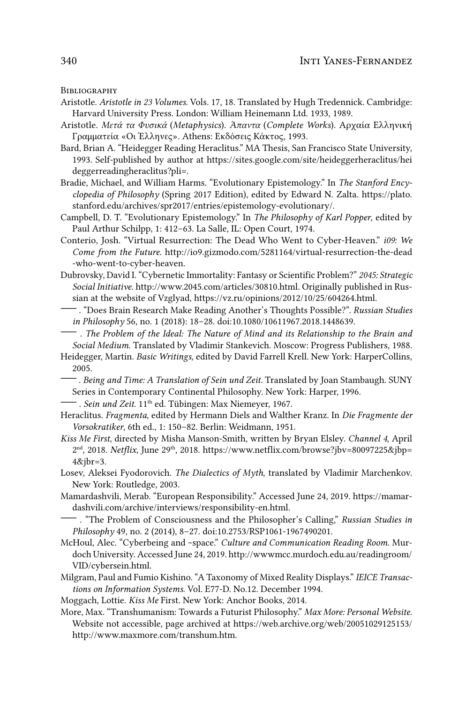BIBLIOGRAPHY

- Aristotle. Aristotle in 23 Volumes. Vols. 17, 18. Translated by Hugh Tredennick. Cambridge: Harvard University Press. London: William Heinemann Ltd. 1933, 1989.
- Aristotle. Μετά τα Φυσικά (Metaphysics). Άπαντα (Complete Works). Αρχαία Ελληνική Γραμματεία «Οι Έλληνες». Athens: Εκδόσεις Κάκτος, 1993.
- Bard, Brian A. "Heidegger Reading Heraclitus." MA Thesis, San Francisco State University, 1993. Self-published by author at https://sites.google.com/site/heideggerheraclitus/hei deggerreadingheraclitus?pli=.
- Bradie, Michael, and William Harms. "Evolutionary Epistemology." In The Stanford Encyclopedia of Philosophy (Spring 2017 Edition), edited by Edward N. Zalta. https://plato. stanford.edu/archives/spr2017/entries/epistemology-evolutionary/.
- Campbell, D. T. "Evolutionary Epistemology." In The Philosophy of Karl Popper, edited by Paul Arthur Schilpp, 1: 412-63. La Salle, IL: Open Court, 1974.
- Conterio, Josh. "Virtual Resurrection: The Dead Who Went to Cyber-Heaven." i09: We Come from the Future. http://io9.gizmodo.com/5281164/virtual-resurrection-the-dead -who-went-to-cyber-heaven.
- Dubrovsky, David I. "Cybernetic Immortality: Fantasy or Scientific Problem?" 2045: Strategic Social Initiative. http://www.2045.com/articles/30810.html. Originally published in Russian at the website of Vzglyad, https://vz.ru/opinions/2012/10/25/604264.html.
- . "Does Brain Research Make Reading Another's Thoughts Possible?". Russian Studies in Philosophy 56, no. 1 (2018): 18-28. doi:10.1080/10611967.2018.1448639.
- The Problem of the Ideal: The Nature of Mind and its Relationship to the Brain and Social Medium. Translated by Vladimir Stankevich. Moscow: Progress Publishers, 1988.
- Heidegger, Martin. Basic Writings, edited by David Farrell Krell. New York: HarperCollins, 2005.
	- Being and Time: A Translation of Sein und Zeit. Translated by Joan Stambaugh. SUNY Series in Contemporary Continental Philosophy. New York: Harper, 1996.
- Sein und Zeit. 11<sup>th</sup> ed. Tübingen: Max Niemeyer, 1967.
- Heraclitus. Fragmenta, edited by Hermann Diels and Walther Kranz. In Die Fragmente der Vorsokratiker, 6th ed., 1: 150-82. Berlin: Weidmann, 1951.
- Kiss Me First, directed by Misha Manson-Smith, written by Bryan Elsley. Channel 4, April 2<sup>nd</sup>, 2018. Netflix, June 29<sup>th</sup>, 2018. https://www.netflix.com/browse?jbv=80097225&jbp=  $4\&$ jbr=3.
- Losev, Aleksei Fyodorovich. The Dialectics of Myth, translated by Vladimir Marchenkov. New York: Routledge, 2003.
- Mamardashvili, Merab. "European Responsibility." Accessed June 24, 2019. https://mamardashvili.com/archive/interviews/responsibility-en.html.
- . "The Problem of Consciousness and the Philosopher's Calling," Russian Studies in Philosophy 49, no. 2 (2014), 8-27. doi:10.2753/RSP1061-1967490201.
- McHoul, Alec. "Cyberbeing and ~space." Culture and Communication Reading Room. Murdoch University. Accessed June 24, 2019. http://wwwmcc.murdoch.edu.au/readingroom/ VID/cybersein.html.
- Milgram, Paul and Fumio Kishino. "A Taxonomy of Mixed Reality Displays." IEICE Transactions on Information Systems. Vol. E77-D. No.12. December 1994.
- Moggach, Lottie. Kiss Me First. New York: Anchor Books, 2014.
- More, Max. "Transhumanism: Towards a Futurist Philosophy." Max More: Personal Website. Website not accessible, page archived at https://web.archive.org/web/20051029125153/ http://www.maxmore.com/transhum.htm.